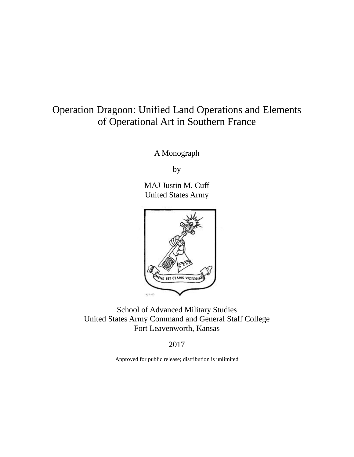# Operation Dragoon: Unified Land Operations and Elements of Operational Art in Southern France

A Monograph

by

MAJ Justin M. Cuff United States Army



School of Advanced Military Studies United States Army Command and General Staff College Fort Leavenworth, Kansas

2017

Approved for public release; distribution is unlimited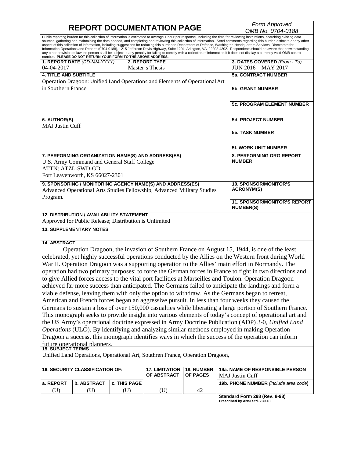# **REPORT DOCUMENTATION PAGE** *Form Approved*

*OMB No. 0704-0188*

Public reporting burden for this collection of information is estimated to average 1 hour per response, including the time for reviewing instructions, searching existing data sources, gathering and maintaining the data needed, and completing and reviewing this collection of information. Send comments regarding this burden estimate or any other aspect of this collection of information, including suggestions for reducing this burden to Department of Defense, Washington Headquarters Services, Directorate for Information Operations and Reports (0704-0188), 1215 Jefferson Davis Highway, Suite 1204, Arlington, VA 22202-4302. Respondents should be aware that notwithstanding any other provision of law, no person shall be subject to any penalty for failing to comply with a collection of information if it does not display a currently valid OMB control<br>number. PLEASE DO NOT RETURN YOUR FORM TO TH

| 1. REPORT DATE (DD-MM-YYYY)                               | 2. REPORT TYPE                                                             | 3. DATES COVERED (From - To)                            |
|-----------------------------------------------------------|----------------------------------------------------------------------------|---------------------------------------------------------|
| $04 - 04 - 2017$                                          | Master's Thesis                                                            | <b>JUN 2016 - MAY 2017</b>                              |
| <b>4. TITLE AND SUBTITLE</b>                              |                                                                            | <b>5a. CONTRACT NUMBER</b>                              |
|                                                           | Operation Dragoon: Unified Land Operations and Elements of Operational Art |                                                         |
| in Southern France                                        |                                                                            | <b>5b. GRANT NUMBER</b>                                 |
|                                                           |                                                                            |                                                         |
|                                                           |                                                                            | <b>5c. PROGRAM ELEMENT NUMBER</b>                       |
|                                                           |                                                                            |                                                         |
| 6. AUTHOR(S)                                              |                                                                            | <b>5d. PROJECT NUMBER</b>                               |
| <b>MAJ Justin Cuff</b>                                    |                                                                            |                                                         |
|                                                           |                                                                            | <b>5e. TASK NUMBER</b>                                  |
|                                                           |                                                                            |                                                         |
|                                                           |                                                                            | <b>5f. WORK UNIT NUMBER</b>                             |
| 7. PERFORMING ORGANIZATION NAME(S) AND ADDRESS(ES)        |                                                                            | <b>8. PERFORMING ORG REPORT</b>                         |
| U.S. Army Command and General Staff College               |                                                                            | <b>NUMBER</b>                                           |
| <b>ATTN: ATZL-SWD-GD</b>                                  |                                                                            |                                                         |
| Fort Leavenworth, KS 66027-2301                           |                                                                            |                                                         |
| 9. SPONSORING / MONITORING AGENCY NAME(S) AND ADDRESS(ES) |                                                                            | <b>10. SPONSOR/MONITOR'S</b>                            |
|                                                           | Advanced Operational Arts Studies Fellowship, Advanced Military Studies    | <b>ACRONYM(S)</b>                                       |
| Program.                                                  |                                                                            |                                                         |
|                                                           |                                                                            | <b>11. SPONSOR/MONITOR'S REPORT</b><br><b>NUMBER(S)</b> |
| <b>12. DISTRIBUTION / AVAILABILITY STATEMENT</b>          |                                                                            |                                                         |
| Approved for Public Release; Distribution is Unlimited    |                                                                            |                                                         |

#### **13. SUPPLEMENTARY NOTES**

#### **14. ABSTRACT**

Operation Dragoon, the invasion of Southern France on August 15, 1944, is one of the least celebrated, yet highly successful operations conducted by the Allies on the Western front during World War II. Operation Dragoon was a supporting operation to the Allies' main effort in Normandy. The operation had two primary purposes: to force the German forces in France to fight in two directions and to give Allied forces access to the vital port facilities at Marseilles and Toulon. Operation Dragoon achieved far more success than anticipated. The Germans failed to anticipate the landings and form a viable defense, leaving them with only the option to withdraw. As the Germans began to retreat, American and French forces began an aggressive pursuit. In less than four weeks they caused the Germans to sustain a loss of over 150,000 casualties while liberating a large portion of Southern France. This monograph seeks to provide insight into various elements of today's concept of operational art and the US Army's operational doctrine expressed in Army Doctrine Publication (ADP) 3-0, *Unified Land Operations* (ULO). By identifying and analyzing similar methods employed in making Operation Dragoon a success, this monograph identifies ways in which the success of the operation can inform future operational planners. **15. SUBJECT TERMS**

Unified Land Operations, Operational Art, Southren France, Operation Dragoon,

|           | <b>16. SECURITY CLASSIFICATION OF:</b> |                     | <b>17. LIMITATION</b><br>OF ABSTRACT | <b>18. NUMBER</b><br><b>OF PAGES</b> | <b>19a. NAME OF RESPONSIBLE PERSON</b><br>MAJ Justin Cuff |
|-----------|----------------------------------------|---------------------|--------------------------------------|--------------------------------------|-----------------------------------------------------------|
| a. REPORT | b. ABSTRACT                            | <b>C. THIS PAGE</b> |                                      |                                      | <b>19b. PHONE NUMBER</b> (include area code)              |
|           |                                        |                     |                                      | 42                                   |                                                           |

**Standard Form 298 (Rev. 8-98) Prescribed by ANSI Std. Z39.18**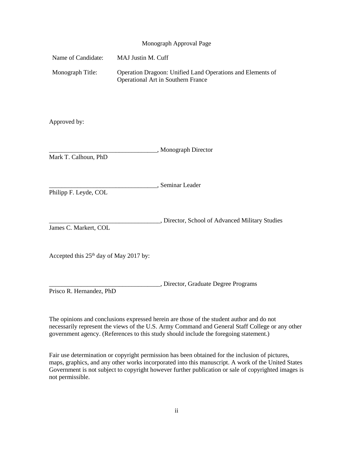#### Monograph Approval Page

| Name of Candidate: | MAJ Justin M. Cuff                                                                                      |
|--------------------|---------------------------------------------------------------------------------------------------------|
| Monograph Title:   | Operation Dragoon: Unified Land Operations and Elements of<br><b>Operational Art in Southern France</b> |

Approved by:

| Mark T. Calhoun, PhD                     | _, Monograph Director                         |
|------------------------------------------|-----------------------------------------------|
| Philipp F. Leyde, COL                    | Seminar Leader                                |
| James C. Markert, COL                    | Director, School of Advanced Military Studies |
| Accepted this $25th$ day of May 2017 by: |                                               |
|                                          | , Director, Graduate Degree Programs          |

Prisco R. Hernandez, PhD

The opinions and conclusions expressed herein are those of the student author and do not necessarily represent the views of the U.S. Army Command and General Staff College or any other government agency. (References to this study should include the foregoing statement.)

Fair use determination or copyright permission has been obtained for the inclusion of pictures, maps, graphics, and any other works incorporated into this manuscript. A work of the United States Government is not subject to copyright however further publication or sale of copyrighted images is not permissible.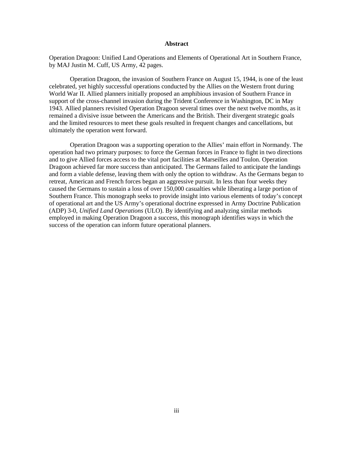#### **Abstract**

Operation Dragoon: Unified Land Operations and Elements of Operational Art in Southern France, by MAJ Justin M. Cuff, US Army, 42 pages.

Operation Dragoon, the invasion of Southern France on August 15, 1944, is one of the least celebrated, yet highly successful operations conducted by the Allies on the Western front during World War II. Allied planners initially proposed an amphibious invasion of Southern France in support of the cross-channel invasion during the Trident Conference in Washington, DC in May 1943. Allied planners revisited Operation Dragoon several times over the next twelve months, as it remained a divisive issue between the Americans and the British. Their divergent strategic goals and the limited resources to meet these goals resulted in frequent changes and cancellations, but ultimately the operation went forward.

Operation Dragoon was a supporting operation to the Allies' main effort in Normandy. The operation had two primary purposes: to force the German forces in France to fight in two directions and to give Allied forces access to the vital port facilities at Marseilles and Toulon. Operation Dragoon achieved far more success than anticipated. The Germans failed to anticipate the landings and form a viable defense, leaving them with only the option to withdraw. As the Germans began to retreat, American and French forces began an aggressive pursuit. In less than four weeks they caused the Germans to sustain a loss of over 150,000 casualties while liberating a large portion of Southern France. This monograph seeks to provide insight into various elements of today's concept of operational art and the US Army's operational doctrine expressed in Army Doctrine Publication (ADP) 3-0, *Unified Land Operations* (ULO). By identifying and analyzing similar methods employed in making Operation Dragoon a success, this monograph identifies ways in which the success of the operation can inform future operational planners.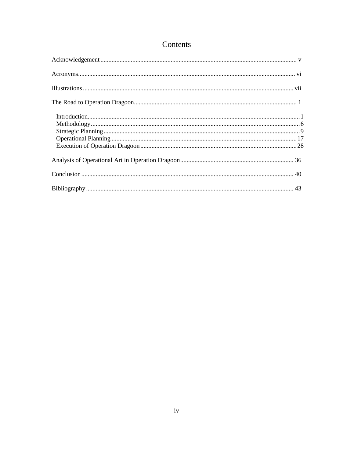## Contents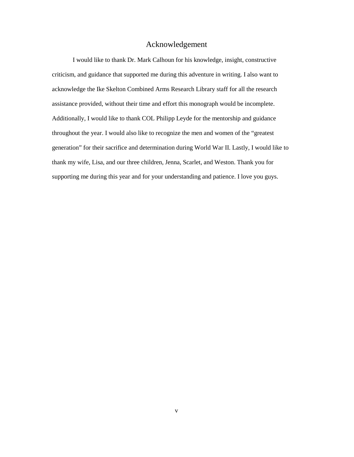### Acknowledgement

<span id="page-5-0"></span>I would like to thank Dr. Mark Calhoun for his knowledge, insight, constructive criticism, and guidance that supported me during this adventure in writing. I also want to acknowledge the Ike Skelton Combined Arms Research Library staff for all the research assistance provided, without their time and effort this monograph would be incomplete. Additionally, I would like to thank COL Philipp Leyde for the mentorship and guidance throughout the year. I would also like to recognize the men and women of the "greatest generation" for their sacrifice and determination during World War II. Lastly, I would like to thank my wife, Lisa, and our three children, Jenna, Scarlet, and Weston. Thank you for supporting me during this year and for your understanding and patience. I love you guys.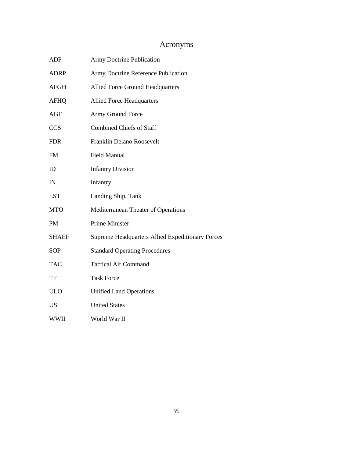# Acronyms

<span id="page-6-0"></span>

| <b>ADP</b>   | <b>Army Doctrine Publication</b>                 |
|--------------|--------------------------------------------------|
| <b>ADRP</b>  | Army Doctrine Reference Publication              |
| AFGH         | <b>Allied Force Ground Headquarters</b>          |
| <b>AFHQ</b>  | <b>Allied Force Headquarters</b>                 |
| <b>AGF</b>   | Army Ground Force                                |
| <b>CCS</b>   | <b>Combined Chiefs of Staff</b>                  |
| <b>FDR</b>   | Franklin Delano Roosevelt                        |
| <b>FM</b>    | <b>Field Manual</b>                              |
| ID           | <b>Infantry Division</b>                         |
| IN           | Infantry                                         |
| <b>LST</b>   | Landing Ship, Tank                               |
| <b>MTO</b>   | Mediterranean Theater of Operations              |
| <b>PM</b>    | Prime Minister                                   |
| <b>SHAEF</b> | Supreme Headquarters Allied Expeditionary Forces |
| <b>SOP</b>   | <b>Standard Operating Procedures</b>             |
| <b>TAC</b>   | <b>Tactical Air Command</b>                      |
| TF           | <b>Task Force</b>                                |
| <b>ULO</b>   | <b>Unified Land Operations</b>                   |
| <b>US</b>    | <b>United States</b>                             |
| <b>WWII</b>  | World War II                                     |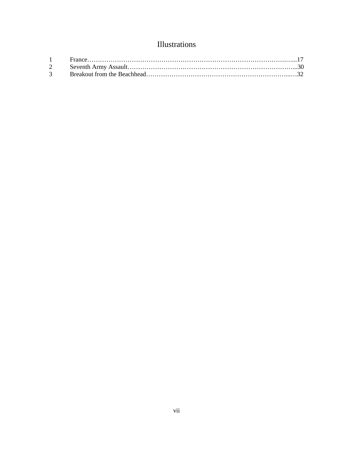# Illustrations

<span id="page-7-0"></span>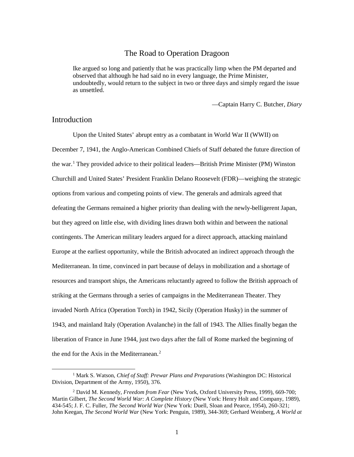### The Road to Operation Dragoon

<span id="page-8-0"></span>Ike argued so long and patiently that he was practically limp when the PM departed and observed that although he had said no in every language, the Prime Minister, undoubtedly, would return to the subject in two or three days and simply regard the issue as unsettled.

—Captain Harry C. Butcher, *Diary*

### <span id="page-8-1"></span>Introduction

Upon the United States' abrupt entry as a combatant in World War II (WWII) on December 7, 1941, the Anglo-American Combined Chiefs of Staff debated the future direction of the war. [1](#page-8-2) They provided advice to their political leaders—British Prime Minister (PM) Winston Churchill and United States' President Franklin Delano Roosevelt (FDR)—weighing the strategic options from various and competing points of view. The generals and admirals agreed that defeating the Germans remained a higher priority than dealing with the newly-belligerent Japan, but they agreed on little else, with dividing lines drawn both within and between the national contingents. The American military leaders argued for a direct approach, attacking mainland Europe at the earliest opportunity, while the British advocated an indirect approach through the Mediterranean. In time, convinced in part because of delays in mobilization and a shortage of resources and transport ships, the Americans reluctantly agreed to follow the British approach of striking at the Germans through a series of campaigns in the Mediterranean Theater. They invaded North Africa (Operation Torch) in 1942, Sicily (Operation Husky) in the summer of 1943, and mainland Italy (Operation Avalanche) in the fall of 1943. The Allies finally began the liberation of France in June 1944, just two days after the fall of Rome marked the beginning of the end for the Axis in the Mediterranean. [2](#page-8-3)

<span id="page-8-2"></span> <sup>1</sup> Mark S. Watson, *Chief of Staff: Prewar Plans and Preparations* (Washington DC: Historical Division, Department of the Army, 1950), 376.

<span id="page-8-3"></span><sup>2</sup> David M. Kennedy, *Freedom from Fear* (New York, Oxford University Press, 1999), 669-700; Martin Gilbert, *The Second World War: A Complete History* (New York: Henry Holt and Company, 1989), 434-545; J. F. C. Fuller, *The Second World War* (New York: Duell, Sloan and Pearce, 1954), 260-321; John Keegan, *The Second World War* (New York: Penguin, 1989), 344-369; Gerhard Weinberg, *A World at*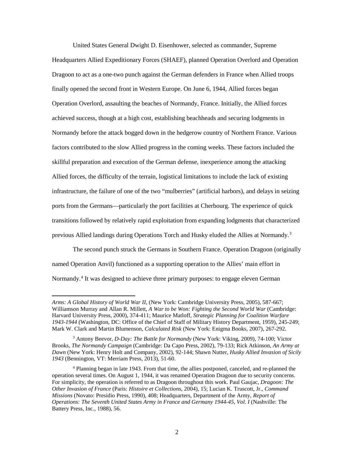United States General Dwight D. Eisenhower, selected as commander, Supreme Headquarters Allied Expeditionary Forces (SHAEF), planned Operation Overlord and Operation Dragoon to act as a one-two punch against the German defenders in France when Allied troops finally opened the second front in Western Europe. On June 6, 1944, Allied forces began Operation Overlord, assaulting the beaches of Normandy, France. Initially, the Allied forces achieved success, though at a high cost, establishing beachheads and securing lodgments in Normandy before the attack bogged down in the hedgerow country of Northern France. Various factors contributed to the slow Allied progress in the coming weeks. These factors included the skillful preparation and execution of the German defense, inexperience among the attacking Allied forces, the difficulty of the terrain, logistical limitations to include the lack of existing infrastructure, the failure of one of the two "mulberries" (artificial harbors), and delays in seizing ports from the Germans—particularly the port facilities at Cherbourg. The experience of quick transitions followed by relatively rapid exploitation from expanding lodgments that characterized previous Allied landings during Operations Torch and Husky eluded the Allies at Normandy.<sup>[3](#page-9-0)</sup>

The second punch struck the Germans in Southern France. Operation Dragoon (originally named Operation Anvil) functioned as a supporting operation to the Allies' main effort in Normandy.<sup>[4](#page-9-1)</sup> It was designed to achieve three primary purposes: to engage eleven German

 $\overline{a}$ 

*Arms: A Global History of World War II,* (New York: Cambridge University Press, 2005), 587-667; Williamson Murray and Allan R. Millett, *A War to be Won: Fighting the Second World War* (Cambridge: Harvard University Press, 2000), 374-411; Maurice Matloff, *Strategic Planning for Coalition Warfare 1943-1944* (Washington, DC: Office of the Chief of Staff of Military History Department, 1959), 245-249; Mark W. Clark and Martin Blumenson, *Calculated Risk* (New York: Enigma Books, 2007), 267-292.

<span id="page-9-0"></span><sup>3</sup> Antony Beevor, *D-Day: The Battle for Normandy* (New York: Viking, 2009), 74-100; Victor Brooks, *The Normandy Campaign* (Cambridge: Da Capo Press, 2002), 79-133; Rick Atkinson, *An Army at Dawn* (New York: Henry Holt and Company, 2002), 92-144; Shawn Nutter, *Husky Allied Invasion of Sicily 1943* (Bennington, VT: Merriam Press, 2013), 51-60.

<span id="page-9-1"></span><sup>4</sup> Planning began in late 1943. From that time, the allies postponed, canceled, and re-planned the operation several times. On August 1, 1944, it was renamed Operation Dragoon due to security concerns. For simplicity, the operation is referred to as Dragoon throughout this work. Paul Gaujac, *Dragoon: The Other Invasion of France* (Paris: *Histoire et Collections*, 2004), 15; Lucian K. Truscott, Jr., *Command Missions* (Novato: Presidio Press, 1990), 408; Headquarters, Department of the Army, *Report of Operations: The Seventh United States Army in France and Germany 1944-45, Vol. I* (Nashville: The Battery Press, Inc., 1988), 56.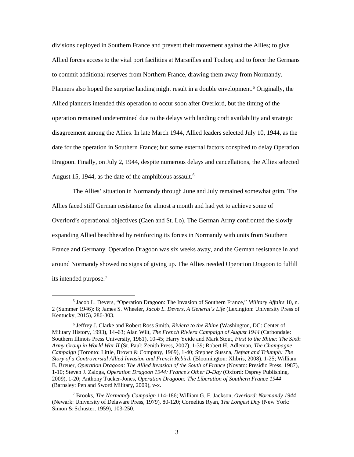divisions deployed in Southern France and prevent their movement against the Allies; to give Allied forces access to the vital port facilities at Marseilles and Toulon; and to force the Germans to commit additional reserves from Northern France, drawing them away from Normandy. Planners also hoped the surprise landing might result in a double envelopment.<sup>[5](#page-10-0)</sup> Originally, the Allied planners intended this operation to occur soon after Overlord, but the timing of the operation remained undetermined due to the delays with landing craft availability and strategic disagreement among the Allies. In late March 1944, Allied leaders selected July 10, 1944, as the date for the operation in Southern France; but some external factors conspired to delay Operation Dragoon. Finally, on July 2, 1944, despite numerous delays and cancellations, the Allies selected August 15, 1944, as the date of the amphibious assault.<sup>[6](#page-10-1)</sup>

The Allies' situation in Normandy through June and July remained somewhat grim. The Allies faced stiff German resistance for almost a month and had yet to achieve some of Overlord's operational objectives (Caen and St. Lo). The German Army confronted the slowly expanding Allied beachhead by reinforcing its forces in Normandy with units from Southern France and Germany. Operation Dragoon was six weeks away, and the German resistance in and around Normandy showed no signs of giving up. The Allies needed Operation Dragoon to fulfill its intended purpose.<sup>[7](#page-10-2)</sup>

<span id="page-10-0"></span> <sup>5</sup> Jacob L. Devers, "Operation Dragoon: The Invasion of Southern France," *Military Affairs* 10, n. 2 (Summer 1946): 8; James S. Wheeler, *Jacob L. Devers, A General's Life* (Lexington: University Press of Kentucky, 2015), 286-303.

<span id="page-10-1"></span><sup>6</sup> Jeffrey J. Clarke and Robert Ross Smith, *Riviera to the Rhine* (Washington, DC: Center of Military History, 1993), 14–63; Alan Wilt, *The French Riviera Campaign of August 1944* (Carbondale: Southern Illinois Press University, 1981), 10-45; Harry Yeide and Mark Stout, *First to the Rhine: The Sixth Army Group in World War II* (St. Paul: Zenith Press, 2007), 1-39; Robert H. Adleman, *The Champagne Campaign* (Toronto: Little, Brown & Company, 1969), 1-40; Stephen Sussna, *Defeat and Triumph: The Story of a Controversial Allied Invasion and French Rebirth* (Bloomington: Xlibris, 2008), 1-25; William B. Breuer, *Operation Dragoon: The Allied Invasion of the South of France* (Novato: Presidio Press, 1987), 1-10; Steven J. Zaloga, *Operation Dragoon 1944: France's Other D-Day* (Oxford: Osprey Publishing, 2009), 1-20; Anthony Tucker-Jones, *Operation Dragoon: The Liberation of Southern France 1944*  (Barnsley: Pen and Sword Military, 2009), v-x.

<span id="page-10-2"></span><sup>7</sup> Brooks, *The Normandy Campaign* 114-186; William G. F. Jackson, *Overlord*: *Normandy 1944*  (Newark: University of Delaware Press, 1979), 80-120; Cornelius Ryan, *The Longest Day* (New York: Simon & Schuster, 1959), 103-250.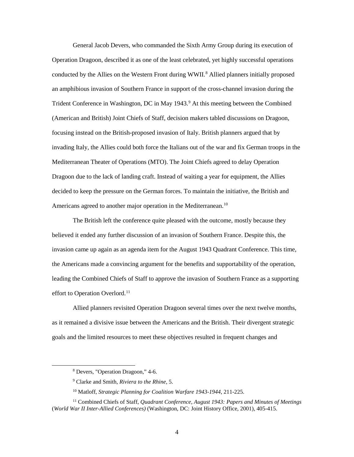General Jacob Devers, who commanded the Sixth Army Group during its execution of Operation Dragoon, described it as one of the least celebrated, yet highly successful operations conducted by the Allies on the Western Front during WWII. [8](#page-11-0) Allied planners initially proposed an amphibious invasion of Southern France in support of the cross-channel invasion during the Trident Conference in Washington, DC in May 1[9](#page-11-1)43.<sup>9</sup> At this meeting between the Combined (American and British) Joint Chiefs of Staff, decision makers tabled discussions on Dragoon, focusing instead on the British-proposed invasion of Italy. British planners argued that by invading Italy, the Allies could both force the Italians out of the war and fix German troops in the Mediterranean Theater of Operations (MTO). The Joint Chiefs agreed to delay Operation Dragoon due to the lack of landing craft. Instead of waiting a year for equipment, the Allies decided to keep the pressure on the German forces. To maintain the initiative, the British and Americans agreed to another major operation in the Mediterranean.<sup>[10](#page-11-2)</sup>

The British left the conference quite pleased with the outcome, mostly because they believed it ended any further discussion of an invasion of Southern France. Despite this, the invasion came up again as an agenda item for the August 1943 Quadrant Conference. This time, the Americans made a convincing argument for the benefits and supportability of the operation, leading the Combined Chiefs of Staff to approve the invasion of Southern France as a supporting effort to Operation Overlord.<sup>[11](#page-11-3)</sup>

Allied planners revisited Operation Dragoon several times over the next twelve months, as it remained a divisive issue between the Americans and the British. Their divergent strategic goals and the limited resources to meet these objectives resulted in frequent changes and

 <sup>8</sup> Devers, "Operation Dragoon," 4-6.

<sup>9</sup> Clarke and Smith, *Riviera to the Rhine*, 5.

<sup>10</sup> Matloff, *Strategic Planning for Coalition Warfare 1943-1944*, 211-225.

<span id="page-11-3"></span><span id="page-11-2"></span><span id="page-11-1"></span><span id="page-11-0"></span><sup>11</sup> Combined Chiefs of Staff, *Quadrant Conference, August 1943: Papers and Minutes of Meetings* (*World War II Inter-Allied Conferences)* (Washington, DC: Joint History Office, 2001), 405-415.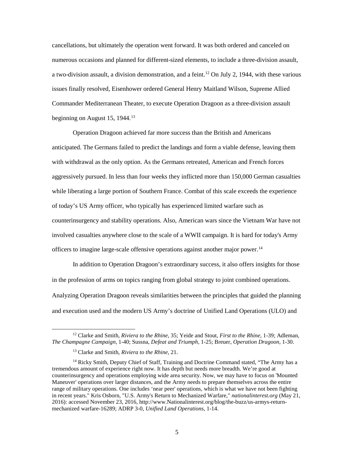cancellations, but ultimately the operation went forward. It was both ordered and canceled on numerous occasions and planned for different-sized elements, to include a three-division assault, a two-division assault, a division demonstration, and a feint.<sup>[12](#page-12-0)</sup> On July 2, 1944, with these various issues finally resolved, Eisenhower ordered General Henry Maitland Wilson, Supreme Allied Commander Mediterranean Theater, to execute Operation Dragoon as a three-division assault beginning on August 15, 1944. $13$ 

Operation Dragoon achieved far more success than the British and Americans anticipated. The Germans failed to predict the landings and form a viable defense, leaving them with withdrawal as the only option. As the Germans retreated, American and French forces aggressively pursued. In less than four weeks they inflicted more than 150,000 German casualties while liberating a large portion of Southern France. Combat of this scale exceeds the experience of today's US Army officer, who typically has experienced limited warfare such as counterinsurgency and stability operations. Also, American wars since the Vietnam War have not involved casualties anywhere close to the scale of a WWII campaign. It is hard for today's Army officers to imagine large-scale offensive operations against another major power. [14](#page-12-2)

In addition to Operation Dragoon's extraordinary success, it also offers insights for those in the profession of arms on topics ranging from global strategy to joint combined operations. Analyzing Operation Dragoon reveals similarities between the principles that guided the planning and execution used and the modern US Army's doctrine of Unified Land Operations (ULO) and

<span id="page-12-0"></span> <sup>12</sup> Clarke and Smith, *Riviera to the Rhine*, 35; Yeide and Stout, *First to the Rhine,* 1-39; Adleman, *The Champagne Campaign*, 1-40; Sussna, *Defeat and Triumph*, 1-25; Breuer, *Operation Dragoon*, 1-30.

<sup>13</sup> Clarke and Smith, *Riviera to the Rhine*, 21.

<span id="page-12-2"></span><span id="page-12-1"></span><sup>&</sup>lt;sup>14</sup> Ricky Smith, Deputy Chief of Staff, Training and Doctrine Command stated, "The Army has a tremendous amount of experience right now. It has depth but needs more breadth. We're good at counterinsurgency and operations employing wide area security. Now, we may have to focus on 'Mounted Maneuver' operations over larger distances, and the Army needs to prepare themselves across the entire range of military operations. One includes 'near peer' operations, which is what we have not been fighting in recent years." Kris Osborn, "U.S. Army's Return to Mechanized Warfare," *nationalinterest.org* (May 21, 2016): accessed November 23, 2016, http://www.Nationalinterest.org/blog/the-buzz/us-armys-returnmechanized warfare-16289; ADRP 3-0, *Unified Land Operations*, 1-14.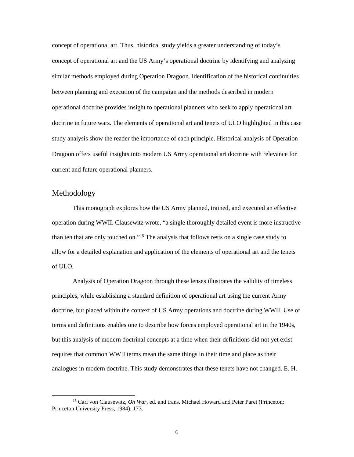concept of operational art. Thus, historical study yields a greater understanding of today's concept of operational art and the US Army's operational doctrine by identifying and analyzing similar methods employed during Operation Dragoon. Identification of the historical continuities between planning and execution of the campaign and the methods described in modern operational doctrine provides insight to operational planners who seek to apply operational art doctrine in future wars. The elements of operational art and tenets of ULO highlighted in this case study analysis show the reader the importance of each principle. Historical analysis of Operation Dragoon offers useful insights into modern US Army operational art doctrine with relevance for current and future operational planners.

### <span id="page-13-0"></span>Methodology

This monograph explores how the US Army planned, trained, and executed an effective operation during WWII. Clausewitz wrote, "a single thoroughly detailed event is more instructive than ten that are only touched on."[15](#page-13-1) The analysis that follows rests on a single case study to allow for a detailed explanation and application of the elements of operational art and the tenets of ULO.

Analysis of Operation Dragoon through these lenses illustrates the validity of timeless principles, while establishing a standard definition of operational art using the current Army doctrine, but placed within the context of US Army operations and doctrine during WWII. Use of terms and definitions enables one to describe how forces employed operational art in the 1940s, but this analysis of modern doctrinal concepts at a time when their definitions did not yet exist requires that common WWII terms mean the same things in their time and place as their analogues in modern doctrine. This study demonstrates that these tenets have not changed. E. H.

<span id="page-13-1"></span> <sup>15</sup> Carl von Clausewitz, *On War*, ed. and trans. Michael Howard and Peter Paret (Princeton: Princeton University Press, 1984), 173.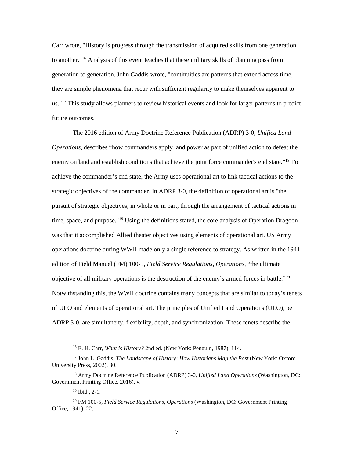Carr wrote, "History is progress through the transmission of acquired skills from one generation to another."[16](#page-14-0) Analysis of this event teaches that these military skills of planning pass from generation to generation. John Gaddis wrote, "continuities are patterns that extend across time, they are simple phenomena that recur with sufficient regularity to make themselves apparent to us."<sup>[17](#page-14-1)</sup> This study allows planners to review historical events and look for larger patterns to predict future outcomes.

The 2016 edition of Army Doctrine Reference Publication (ADRP) 3-0, *Unified Land Operations*, describes "how commanders apply land power as part of unified action to defeat the enemy on land and establish conditions that achieve the joint force commander's end state."<sup>[18](#page-14-2)</sup> To achieve the commander's end state, the Army uses operational art to link tactical actions to the strategic objectives of the commander. In ADRP 3-0, the definition of operational art is "the pursuit of strategic objectives, in whole or in part, through the arrangement of tactical actions in time, space, and purpose."[19](#page-14-3) Using the definitions stated, the core analysis of Operation Dragoon was that it accomplished Allied theater objectives using elements of operational art. US Army operations doctrine during WWII made only a single reference to strategy. As written in the 1941 edition of Field Manuel (FM) 100-5, *Field Service Regulations, Operations,* "the ultimate objective of all military operations is the destruction of the enemy's armed forces in battle."<sup>[20](#page-14-4)</sup> Notwithstanding this, the WWII doctrine contains many concepts that are similar to today's tenets of ULO and elements of operational art. The principles of Unified Land Operations (ULO), per ADRP 3-0, are simultaneity, flexibility, depth, and synchronization. These tenets describe the

7

 <sup>16</sup> E. H. Carr, *What is History?* 2nd ed. (New York: Penguin, 1987), 114.

<span id="page-14-1"></span><span id="page-14-0"></span><sup>17</sup> John L. Gaddis, *The Landscape of History: How Historians Map the Past* (New York: Oxford University Press, 2002), 30.

<span id="page-14-2"></span><sup>18</sup> Army Doctrine Reference Publication (ADRP) 3-0, *Unified Land Operations* (Washington, DC: Government Printing Office, 2016), v.

 $19$  Ibid.,  $2-1$ .

<span id="page-14-4"></span><span id="page-14-3"></span><sup>20</sup> FM 100-5, *Field Service Regulations, Operations* (Washington, DC: Government Printing Office, 1941), 22.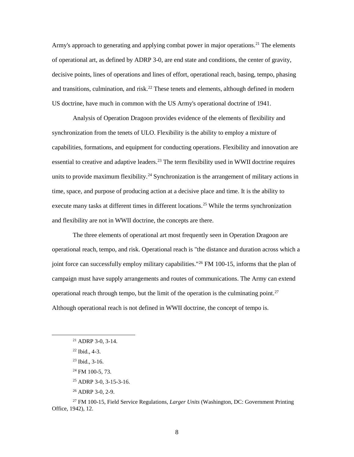Army's approach to generating and applying combat power in major operations.<sup>[21](#page-15-0)</sup> The elements of operational art, as defined by ADRP 3-0, are end state and conditions, the center of gravity, decisive points, lines of operations and lines of effort, operational reach, basing, tempo, phasing and transitions, culmination, and risk.<sup>[22](#page-15-1)</sup> These tenets and elements, although defined in modern US doctrine, have much in common with the US Army's operational doctrine of 1941.

Analysis of Operation Dragoon provides evidence of the elements of flexibility and synchronization from the tenets of ULO. Flexibility is the ability to employ a mixture of capabilities, formations, and equipment for conducting operations. Flexibility and innovation are essential to creative and adaptive leaders.<sup>[23](#page-15-2)</sup> The term flexibility used in WWII doctrine requires units to provide maximum flexibility.<sup>[24](#page-15-3)</sup> Synchronization is the arrangement of military actions in time, space, and purpose of producing action at a decisive place and time. It is the ability to execute many tasks at different times in different locations.<sup>[25](#page-15-4)</sup> While the terms synchronization and flexibility are not in WWII doctrine, the concepts are there.

The three elements of operational art most frequently seen in Operation Dragoon are operational reach, tempo, and risk. Operational reach is "the distance and duration across which a joint force can successfully employ military capabilities."[26](#page-15-5) FM 100-15, informs that the plan of campaign must have supply arrangements and routes of communications. The Army can extend operational reach through tempo, but the limit of the operation is the culminating point.<sup>[27](#page-15-6)</sup> Although operational reach is not defined in WWII doctrine, the concept of tempo is.

<sup>26</sup> ADRP 3-0, 2-9.

<span id="page-15-0"></span> $21$  ADRP 3-0, 3-14.

<span id="page-15-1"></span> $22$  Ibid., 4-3.

<sup>23</sup> Ibid., 3-16.

 $24$  FM 100-5, 73.

<sup>25</sup> ADRP 3-0, 3-15-3-16.

<span id="page-15-6"></span><span id="page-15-5"></span><span id="page-15-4"></span><span id="page-15-3"></span><span id="page-15-2"></span><sup>27</sup> FM 100-15, Field Service Regulations, *Larger Units* (Washington, DC: Government Printing Office, 1942), 12.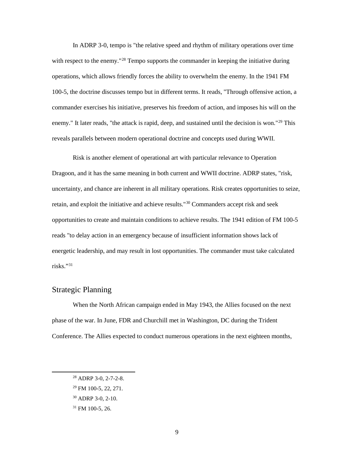In ADRP 3-0, tempo is "the relative speed and rhythm of military operations over time with respect to the enemy."<sup>[28](#page-16-1)</sup> Tempo supports the commander in keeping the initiative during operations, which allows friendly forces the ability to overwhelm the enemy. In the 1941 FM 100-5, the doctrine discusses tempo but in different terms. It reads, "Through offensive action, a commander exercises his initiative, preserves his freedom of action, and imposes his will on the enemy." It later reads, "the attack is rapid, deep, and sustained until the decision is won."<sup>[29](#page-16-2)</sup> This reveals parallels between modern operational doctrine and concepts used during WWII.

Risk is another element of operational art with particular relevance to Operation Dragoon, and it has the same meaning in both current and WWII doctrine. ADRP states, "risk, uncertainty, and chance are inherent in all military operations. Risk creates opportunities to seize, retain, and exploit the initiative and achieve results."[30](#page-16-3) Commanders accept risk and seek opportunities to create and maintain conditions to achieve results. The 1941 edition of FM 100-5 reads "to delay action in an emergency because of insufficient information shows lack of energetic leadership, and may result in lost opportunities. The commander must take calculated risks."[31](#page-16-4)

## <span id="page-16-0"></span>Strategic Planning

When the North African campaign ended in May 1943, the Allies focused on the next phase of the war. In June, FDR and Churchill met in Washington, DC during the Trident Conference. The Allies expected to conduct numerous operations in the next eighteen months,

<span id="page-16-1"></span> <sup>28</sup> ADRP 3-0, 2-7-2-8.

<span id="page-16-2"></span><sup>29</sup> FM 100-5, 22, 271.

<span id="page-16-3"></span><sup>30</sup> ADRP 3-0, 2-10.

<span id="page-16-4"></span><sup>31</sup> FM 100-5, 26.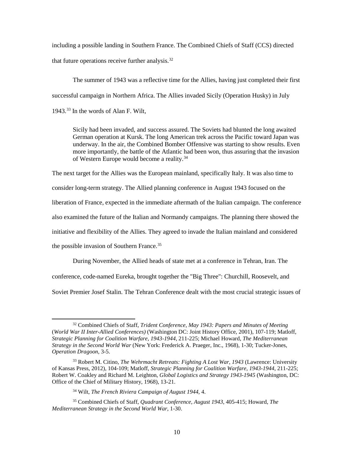including a possible landing in Southern France. The Combined Chiefs of Staff (CCS) directed that future operations receive further analysis. $32$ 

The summer of 1943 was a reflective time for the Allies, having just completed their first successful campaign in Northern Africa. The Allies invaded Sicily (Operation Husky) in July 1943.<sup>[33](#page-17-1)</sup> In the words of Alan F. Wilt,

Sicily had been invaded, and success assured. The Soviets had blunted the long awaited German operation at Kursk. The long American trek across the Pacific toward Japan was underway. In the air, the Combined Bomber Offensive was starting to show results. Even more importantly, the battle of the Atlantic had been won, thus assuring that the invasion of Western Europe would become a reality.[34](#page-17-2)

The next target for the Allies was the European mainland, specifically Italy. It was also time to consider long-term strategy. The Allied planning conference in August 1943 focused on the liberation of France, expected in the immediate aftermath of the Italian campaign. The conference also examined the future of the Italian and Normandy campaigns. The planning there showed the initiative and flexibility of the Allies. They agreed to invade the Italian mainland and considered the possible invasion of Southern France.<sup>[35](#page-17-3)</sup>

During November, the Allied heads of state met at a conference in Tehran, Iran. The

conference, code-named Eureka, brought together the "Big Three": Churchill, Roosevelt, and

Soviet Premier Josef Stalin. The Tehran Conference dealt with the most crucial strategic issues of

<span id="page-17-0"></span> <sup>32</sup> Combined Chiefs of Staff, *Trident Conference, May 1943: Papers and Minutes of Meeting* (*World War II Inter-Allied Conferences)* (Washington DC: Joint History Office, 2001), 107-119; Matloff, *Strategic Planning for Coalition Warfare, 1943-1944*, 211-225; Michael Howard, *The Mediterranean Strategy in the Second World War* (New York: Frederick A. Praeger, Inc., 1968), 1-30; Tucker-Jones, *Operation Dragoon*, 3-5.

<span id="page-17-1"></span><sup>33</sup> Robert M. Citino, *The Wehrmacht Retreats: Fighting A Lost War, 1943* (Lawrence: University of Kansas Press, 2012), 104-109; Matloff, *Strategic Planning for Coalition Warfare, 1943-1944*, 211-225; Robert W. Coakley and Richard M. Leighton, *Global Logistics and Strategy 1943-1945* (Washington, DC: Office of the Chief of Military History, 1968), 13-21.

<sup>34</sup> Wilt, *The French Riviera Campaign of August 1944*, 4.

<span id="page-17-3"></span><span id="page-17-2"></span><sup>35</sup> Combined Chiefs of Staff, *Quadrant Conference, August 1943*, 405-415; Howard, *The Mediterranean Strategy in the Second World War*, 1-30.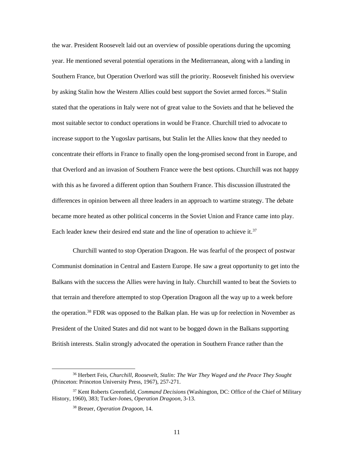the war. President Roosevelt laid out an overview of possible operations during the upcoming year. He mentioned several potential operations in the Mediterranean, along with a landing in Southern France, but Operation Overlord was still the priority. Roosevelt finished his overview by asking Stalin how the Western Allies could best support the Soviet armed forces.<sup>[36](#page-18-0)</sup> Stalin stated that the operations in Italy were not of great value to the Soviets and that he believed the most suitable sector to conduct operations in would be France. Churchill tried to advocate to increase support to the Yugoslav partisans, but Stalin let the Allies know that they needed to concentrate their efforts in France to finally open the long-promised second front in Europe, and that Overlord and an invasion of Southern France were the best options. Churchill was not happy with this as he favored a different option than Southern France. This discussion illustrated the differences in opinion between all three leaders in an approach to wartime strategy. The debate became more heated as other political concerns in the Soviet Union and France came into play. Each leader knew their desired end state and the line of operation to achieve it.<sup>[37](#page-18-1)</sup>

Churchill wanted to stop Operation Dragoon. He was fearful of the prospect of postwar Communist domination in Central and Eastern Europe. He saw a great opportunity to get into the Balkans with the success the Allies were having in Italy. Churchill wanted to beat the Soviets to that terrain and therefore attempted to stop Operation Dragoon all the way up to a week before the operation.<sup>[38](#page-18-2)</sup> FDR was opposed to the Balkan plan. He was up for reelection in November as President of the United States and did not want to be bogged down in the Balkans supporting British interests. Stalin strongly advocated the operation in Southern France rather than the

<span id="page-18-0"></span> <sup>36</sup> Herbert Feis, *Churchill, Roosevelt, Stalin: The War They Waged and the Peace They Sought* (Princeton: Princeton University Press, 1967), 257-271.

<span id="page-18-2"></span><span id="page-18-1"></span><sup>37</sup> Kent Roberts Greenfield, *Command Decisions* (Washington, DC: Office of the Chief of Military History, 1960), 383; Tucker-Jones, *Operation Dragoon*, 3-13.

<sup>38</sup> Breuer, *Operation Dragoon*, 14.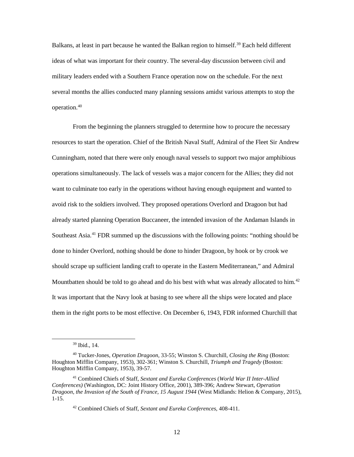Balkans, at least in part because he wanted the Balkan region to himself.<sup>[39](#page-19-0)</sup> Each held different ideas of what was important for their country. The several-day discussion between civil and military leaders ended with a Southern France operation now on the schedule. For the next several months the allies conducted many planning sessions amidst various attempts to stop the operation.[40](#page-19-1)

From the beginning the planners struggled to determine how to procure the necessary resources to start the operation. Chief of the British Naval Staff, Admiral of the Fleet Sir Andrew Cunningham, noted that there were only enough naval vessels to support two major amphibious operations simultaneously. The lack of vessels was a major concern for the Allies; they did not want to culminate too early in the operations without having enough equipment and wanted to avoid risk to the soldiers involved. They proposed operations Overlord and Dragoon but had already started planning Operation Buccaneer, the intended invasion of the Andaman Islands in Southeast Asia.<sup>[41](#page-19-2)</sup> FDR summed up the discussions with the following points: "nothing should be done to hinder Overlord, nothing should be done to hinder Dragoon, by hook or by crook we should scrape up sufficient landing craft to operate in the Eastern Mediterranean," and Admiral Mountbatten should be told to go ahead and do his best with what was already allocated to him.<sup>[42](#page-19-3)</sup> It was important that the Navy look at basing to see where all the ships were located and place them in the right ports to be most effective. On December 6, 1943, FDR informed Churchill that

 <sup>39</sup> Ibid., 14.

<span id="page-19-1"></span><span id="page-19-0"></span><sup>40</sup> Tucker-Jones, *Operation Dragoon*, 33-55; Winston S. Churchill, *Closing the Ring* (Boston: Houghton Mifflin Company, 1953), 302-361; Winston S. Churchill, *Triumph and Tragedy* (Boston: Houghton Mifflin Company, 1953), 39-57.

<span id="page-19-3"></span><span id="page-19-2"></span><sup>41</sup> Combined Chiefs of Staff, *Sextant and Eureka Conferences* (*World War II Inter-Allied Conferences)* (Washington, DC: Joint History Office, 2001), 389-396; Andrew Stewart, *Operation Dragoon, the Invasion of the South of France, 15 August 1944* (West Midlands: Helion & Company, 2015), 1-15.

<sup>42</sup> Combined Chiefs of Staff, *Sextant and Eureka Conferences*, 408-411.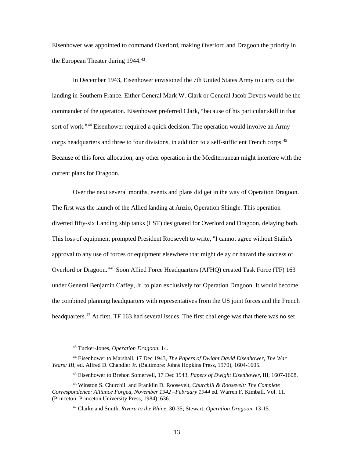Eisenhower was appointed to command Overlord, making Overlord and Dragoon the priority in the European Theater during  $1944.^{43}$  $1944.^{43}$  $1944.^{43}$ 

In December 1943, Eisenhower envisioned the 7th United States Army to carry out the landing in Southern France. Either General Mark W. Clark or General Jacob Devers would be the commander of the operation. Eisenhower preferred Clark, "because of his particular skill in that sort of work."<sup>[44](#page-20-1)</sup> Eisenhower required a quick decision. The operation would involve an Army corps headquarters and three to four divisions, in addition to a self-sufficient French corps.<sup>[45](#page-20-2)</sup> Because of this force allocation, any other operation in the Mediterranean might interfere with the current plans for Dragoon.

Over the next several months, events and plans did get in the way of Operation Dragoon. The first was the launch of the Allied landing at Anzio, Operation Shingle. This operation diverted fifty-six Landing ship tanks (LST) designated for Overlord and Dragoon, delaying both. This loss of equipment prompted President Roosevelt to write, "I cannot agree without Stalin's approval to any use of forces or equipment elsewhere that might delay or hazard the success of Overlord or Dragoon."[46](#page-20-3) Soon Allied Force Headquarters (AFHQ) created Task Force (TF) 163 under General Benjamin Caffey, Jr. to plan exclusively for Operation Dragoon. It would become the combined planning headquarters with representatives from the US joint forces and the French headquarters.<sup>[47](#page-20-4)</sup> At first, TF 163 had several issues. The first challenge was that there was no set

 <sup>43</sup> Tucker-Jones, *Operation Dragoon*, 14.

<span id="page-20-1"></span><span id="page-20-0"></span><sup>44</sup> Eisenhower to Marshall, 17 Dec 1943, *The Papers of Dwight David Eisenhower, The War Years: III*, ed. Alfred D. Chandler Jr. (Baltimore: Johns Hopkins Press, 1970), 1604-1605.

<sup>45</sup> Eisenhower to Brehon Somervell, 17 Dec 1943, *Papers of Dwight Eisenhower*, III, 1607-1608.

<span id="page-20-4"></span><span id="page-20-3"></span><span id="page-20-2"></span><sup>46</sup> Winston S. Churchill and Franklin D. Roosevelt, *Churchill & Roosevelt: The Complete Correspondence: Alliance Forged, November 1942 –February 1944* ed. Warren F. Kimball. Vol. 11. (Princeton: Princeton University Press, 1984), 636.

<sup>47</sup> Clarke and Smith, *Rivera to the Rhine*, 30-35; Stewart, *Operation Dragoon*, 13-15.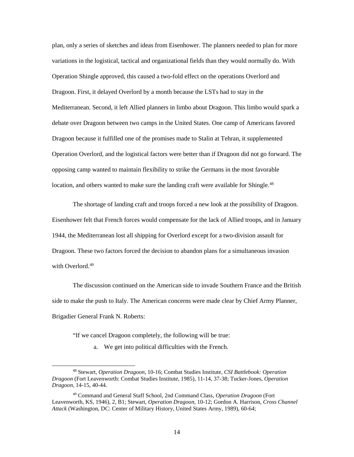plan, only a series of sketches and ideas from Eisenhower. The planners needed to plan for more variations in the logistical, tactical and organizational fields than they would normally do. With Operation Shingle approved, this caused a two-fold effect on the operations Overlord and Dragoon. First, it delayed Overlord by a month because the LSTs had to stay in the Mediterranean. Second, it left Allied planners in limbo about Dragoon. This limbo would spark a debate over Dragoon between two camps in the United States. One camp of Americans favored Dragoon because it fulfilled one of the promises made to Stalin at Tehran, it supplemented Operation Overlord, and the logistical factors were better than if Dragoon did not go forward. The opposing camp wanted to maintain flexibility to strike the Germans in the most favorable location, and others wanted to make sure the landing craft were available for Shingle.<sup>48</sup>

The shortage of landing craft and troops forced a new look at the possibility of Dragoon. Eisenhower felt that French forces would compensate for the lack of Allied troops, and in January 1944, the Mediterranean lost all shipping for Overlord except for a two-division assault for Dragoon. These two factors forced the decision to abandon plans for a simultaneous invasion with Overlord.<sup>[49](#page-21-1)</sup>

The discussion continued on the American side to invade Southern France and the British side to make the push to Italy. The American concerns were made clear by Chief Army Planner, Brigadier General Frank N. Roberts:

"If we cancel Dragoon completely, the following will be true:

a. We get into political difficulties with the French.

<span id="page-21-0"></span> <sup>48</sup> Stewart, *Operation Dragoon*, 10-16; Combat Studies Institute*, CSI Battlebook: Operation Dragoon* (Fort Leavenworth: Combat Studies Institute, 1985), 11-14*,* 37-38; Tucker-Jones, *Operation Dragoon*, 14-15, 40-44.

<span id="page-21-1"></span><sup>49</sup> Command and General Staff School, 2nd Command Class, *Operation Dragoon* (Fort Leavenworth, KS, 1946), 2, B1; Stewart, *Operation Dragoon*, 10-12; Gordon A. Harrison, *Cross Channel Attack* (Washington, DC: Center of Military History, United States Army, 1989), 60-64;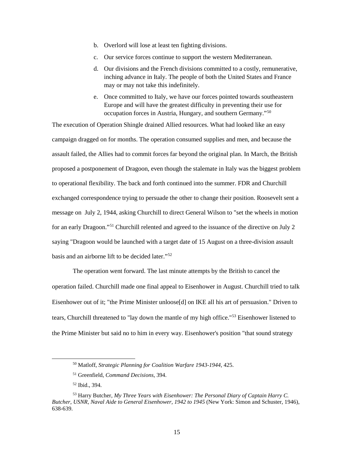- b. Overlord will lose at least ten fighting divisions.
- c. Our service forces continue to support the western Mediterranean.
- d. Our divisions and the French divisions committed to a costly, remunerative, inching advance in Italy. The people of both the United States and France may or may not take this indefinitely.
- e. Once committed to Italy, we have our forces pointed towards southeastern Europe and will have the greatest difficulty in preventing their use for occupation forces in Austria, Hungary, and southern Germany."[50](#page-22-0)

The execution of Operation Shingle drained Allied resources. What had looked like an easy campaign dragged on for months. The operation consumed supplies and men, and because the assault failed, the Allies had to commit forces far beyond the original plan. In March, the British proposed a postponement of Dragoon, even though the stalemate in Italy was the biggest problem to operational flexibility. The back and forth continued into the summer. FDR and Churchill exchanged correspondence trying to persuade the other to change their position. Roosevelt sent a message on July 2, 1944, asking Churchill to direct General Wilson to "set the wheels in motion for an early Dragoon."[51](#page-22-1) Churchill relented and agreed to the issuance of the directive on July 2 saying "Dragoon would be launched with a target date of 15 August on a three-division assault basis and an airborne lift to be decided later."[52](#page-22-2)

The operation went forward. The last minute attempts by the British to cancel the operation failed. Churchill made one final appeal to Eisenhower in August. Churchill tried to talk Eisenhower out of it; "the Prime Minister unloose[d] on IKE all his art of persuasion." Driven to tears, Churchill threatened to "lay down the mantle of my high office."[53](#page-22-3) Eisenhower listened to the Prime Minister but said no to him in every way. Eisenhower's position "that sound strategy

 <sup>50</sup> Matloff, *Strategic Planning for Coalition Warfare 1943-1944*, 425.

<sup>51</sup> Greenfield, *Command Decisions*, 394.

<sup>52</sup> Ibid., 394.

<span id="page-22-3"></span><span id="page-22-2"></span><span id="page-22-1"></span><span id="page-22-0"></span><sup>53</sup> Harry Butcher, *My Three Years with Eisenhower: The Personal Diary of Captain Harry C. Butcher, USNR, Naval Aide to General Eisenhower, 1942 to 1945* (New York: Simon and Schuster, 1946), 638-639.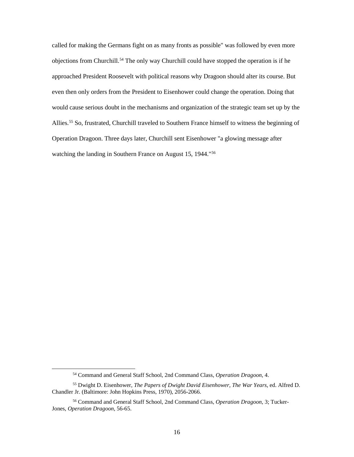called for making the Germans fight on as many fronts as possible" was followed by even more objections from Churchill.<sup>[54](#page-23-0)</sup> The only way Churchill could have stopped the operation is if he approached President Roosevelt with political reasons why Dragoon should alter its course. But even then only orders from the President to Eisenhower could change the operation. Doing that would cause serious doubt in the mechanisms and organization of the strategic team set up by the Allies.<sup>[55](#page-23-1)</sup> So, frustrated, Churchill traveled to Southern France himself to witness the beginning of Operation Dragoon. Three days later, Churchill sent Eisenhower "a glowing message after watching the landing in Southern France on August 15, 1944."<sup>[56](#page-23-2)</sup>

 <sup>54</sup> Command and General Staff School, 2nd Command Class, *Operation Dragoon*, 4.

<span id="page-23-1"></span><span id="page-23-0"></span><sup>55</sup> Dwight D. Eisenhower, *The Papers of Dwight David Eisenhower, The War Years*, ed. Alfred D. Chandler Jr. (Baltimore: John Hopkins Press, 1970), 2056-2066.

<span id="page-23-2"></span><sup>56</sup> Command and General Staff School, 2nd Command Class, *Operation Dragoon*, 3; Tucker-Jones, *Operation Dragoon*, 56-65.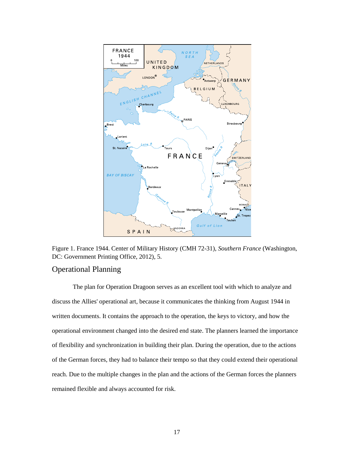

Figure 1. France 1944. Center of Military History (CMH 72-31), *Southern France* (Washington, DC: Government Printing Office, 2012), 5.

## <span id="page-24-0"></span>Operational Planning

The plan for Operation Dragoon serves as an excellent tool with which to analyze and discuss the Allies' operational art, because it communicates the thinking from August 1944 in written documents. It contains the approach to the operation, the keys to victory, and how the operational environment changed into the desired end state. The planners learned the importance of flexibility and synchronization in building their plan. During the operation, due to the actions of the German forces, they had to balance their tempo so that they could extend their operational reach. Due to the multiple changes in the plan and the actions of the German forces the planners remained flexible and always accounted for risk.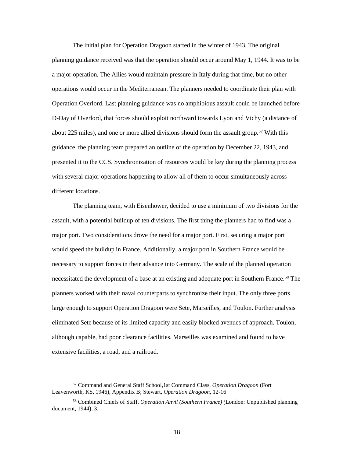The initial plan for Operation Dragoon started in the winter of 1943. The original planning guidance received was that the operation should occur around May 1, 1944. It was to be a major operation. The Allies would maintain pressure in Italy during that time, but no other operations would occur in the Mediterranean. The planners needed to coordinate their plan with Operation Overlord. Last planning guidance was no amphibious assault could be launched before D-Day of Overlord, that forces should exploit northward towards Lyon and Vichy (a distance of about 225 miles), and one or more allied divisions should form the assault group.<sup>[57](#page-25-0)</sup> With this guidance, the planning team prepared an outline of the operation by December 22, 1943, and presented it to the CCS. Synchronization of resources would be key during the planning process with several major operations happening to allow all of them to occur simultaneously across different locations.

The planning team, with Eisenhower, decided to use a minimum of two divisions for the assault, with a potential buildup of ten divisions. The first thing the planners had to find was a major port. Two considerations drove the need for a major port. First, securing a major port would speed the buildup in France. Additionally, a major port in Southern France would be necessary to support forces in their advance into Germany. The scale of the planned operation necessitated the development of a base at an existing and adequate port in Southern France.<sup>[58](#page-25-1)</sup> The planners worked with their naval counterparts to synchronize their input. The only three ports large enough to support Operation Dragoon were Sete, Marseilles, and Toulon. Further analysis eliminated Sete because of its limited capacity and easily blocked avenues of approach. Toulon, although capable, had poor clearance facilities. Marseilles was examined and found to have extensive facilities, a road, and a railroad.

<span id="page-25-0"></span> <sup>57</sup> Command and General Staff School,1st Command Class, *Operation Dragoon* (Fort Leavenworth, KS, 1946), Appendix B; Stewart, *Operation Dragoon*, 12-16

<span id="page-25-1"></span><sup>58</sup> Combined Chiefs of Staff, *Operation Anvil (Southern France) (*London: Unpublished planning document, 1944), 3.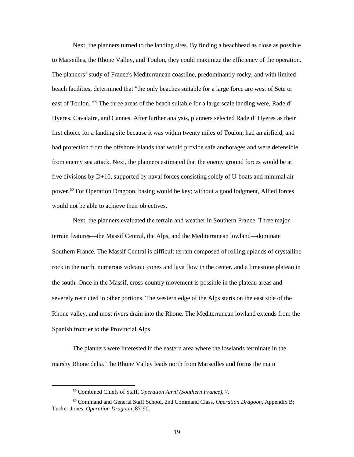Next, the planners turned to the landing sites. By finding a beachhead as close as possible to Marseilles, the Rhone Valley, and Toulon, they could maximize the efficiency of the operation. The planners' study of France's Mediterranean coastline, predominantly rocky, and with limited beach facilities, determined that "the only beaches suitable for a large force are west of Sete or east of Toulon."[59](#page-26-0) The three areas of the beach suitable for a large-scale landing were, Rade d' Hyeres, Cavalaire, and Cannes. After further analysis, planners selected Rade d' Hyeres as their first choice for a landing site because it was within twenty miles of Toulon, had an airfield, and had protection from the offshore islands that would provide safe anchorages and were defensible from enemy sea attack. Next, the planners estimated that the enemy ground forces would be at five divisions by D+10, supported by naval forces consisting solely of U-boats and minimal air power. [60](#page-26-1) For Operation Dragoon, basing would be key; without a good lodgment, Allied forces would not be able to achieve their objectives.

Next, the planners evaluated the terrain and weather in Southern France. Three major terrain features—the Massif Central, the Alps, and the Mediterranean lowland—dominate Southern France. The Massif Central is difficult terrain composed of rolling uplands of crystalline rock in the north, numerous volcanic cones and lava flow in the center, and a limestone plateau in the south. Once in the Massif, cross-country movement is possible in the plateau areas and severely restricted in other portions. The western edge of the Alps starts on the east side of the Rhone valley, and most rivers drain into the Rhone. The Mediterranean lowland extends from the Spanish frontier to the Provincial Alps.

The planners were interested in the eastern area where the lowlands terminate in the marshy Rhone delta. The Rhone Valley leads north from Marseilles and forms the main

 <sup>59</sup> Combined Chiefs of Staff, *Operation Anvil (Southern France)*, 7.

<span id="page-26-1"></span><span id="page-26-0"></span><sup>60</sup> Command and General Staff School, 2nd Command Class, *Operation Dragoon*, Appendix B; Tucker-Jones, *Operation Dragoon*, 87-90.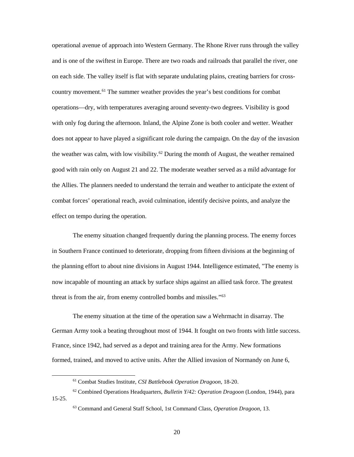operational avenue of approach into Western Germany. The Rhone River runs through the valley and is one of the swiftest in Europe. There are two roads and railroads that parallel the river, one on each side. The valley itself is flat with separate undulating plains, creating barriers for cross-country movement.<sup>[61](#page-27-0)</sup> The summer weather provides the year's best conditions for combat operations—dry, with temperatures averaging around seventy-two degrees. Visibility is good with only fog during the afternoon. Inland, the Alpine Zone is both cooler and wetter. Weather does not appear to have played a significant role during the campaign. On the day of the invasion the weather was calm, with low visibility.<sup>[62](#page-27-1)</sup> During the month of August, the weather remained good with rain only on August 21 and 22. The moderate weather served as a mild advantage for the Allies. The planners needed to understand the terrain and weather to anticipate the extent of combat forces' operational reach, avoid culmination, identify decisive points, and analyze the effect on tempo during the operation.

The enemy situation changed frequently during the planning process. The enemy forces in Southern France continued to deteriorate, dropping from fifteen divisions at the beginning of the planning effort to about nine divisions in August 1944. Intelligence estimated, "The enemy is now incapable of mounting an attack by surface ships against an allied task force. The greatest threat is from the air, from enemy controlled bombs and missiles."[63](#page-27-2)

The enemy situation at the time of the operation saw a Wehrmacht in disarray. The German Army took a beating throughout most of 1944. It fought on two fronts with little success. France, since 1942, had served as a depot and training area for the Army. New formations formed, trained, and moved to active units. After the Allied invasion of Normandy on June 6,

 <sup>61</sup> Combat Studies Institute, *CSI Battlebook Operation Dragoon*, 18-20.

<span id="page-27-2"></span><span id="page-27-1"></span><span id="page-27-0"></span><sup>62</sup> Combined Operations Headquarters, *Bulletin Y/42: Operation Dragoon* (London, 1944), para 15-25.

<sup>63</sup> Command and General Staff School, 1st Command Class, *Operation Dragoon*, 13.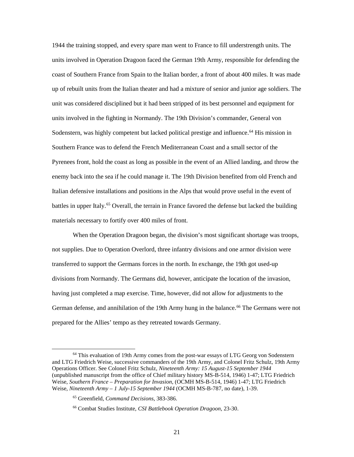1944 the training stopped, and every spare man went to France to fill understrength units. The units involved in Operation Dragoon faced the German 19th Army, responsible for defending the coast of Southern France from Spain to the Italian border, a front of about 400 miles. It was made up of rebuilt units from the Italian theater and had a mixture of senior and junior age soldiers. The unit was considered disciplined but it had been stripped of its best personnel and equipment for units involved in the fighting in Normandy. The 19th Division's commander, General von Sodenstern, was highly competent but lacked political prestige and influence.<sup>[64](#page-28-0)</sup> His mission in Southern France was to defend the French Mediterranean Coast and a small sector of the Pyrenees front, hold the coast as long as possible in the event of an Allied landing, and throw the enemy back into the sea if he could manage it. The 19th Division benefited from old French and Italian defensive installations and positions in the Alps that would prove useful in the event of battles in upper Italy.<sup>[65](#page-28-1)</sup> Overall, the terrain in France favored the defense but lacked the building materials necessary to fortify over 400 miles of front.

When the Operation Dragoon began, the division's most significant shortage was troops, not supplies. Due to Operation Overlord, three infantry divisions and one armor division were transferred to support the Germans forces in the north. In exchange, the 19th got used-up divisions from Normandy. The Germans did, however, anticipate the location of the invasion, having just completed a map exercise. Time, however, did not allow for adjustments to the German defense, and annihilation of the 19th Army hung in the balance.<sup>[66](#page-28-2)</sup> The Germans were not prepared for the Allies' tempo as they retreated towards Germany.

<span id="page-28-1"></span><span id="page-28-0"></span><sup>&</sup>lt;sup>64</sup> This evaluation of 19th Army comes from the post-war essays of LTG Georg von Sodenstern and LTG Friedrich Weise, successive commanders of the 19th Army, and Colonel Fritz Schulz, 19th Army Operations Officer. See Colonel Fritz Schulz, *Nineteenth Army: 15 August-15 September 1944* (unpublished manuscript from the office of Chief military history MS-B-514, 1946) 1-47; LTG Friedrich Weise, *Southern France – Preparation for Invasion*, (OCMH MS-B-514, 1946) 1-47; LTG Friedrich Weise, *Nineteenth Army – 1 July-15 September 1944* (OCMH MS-B-787, no date), 1-39.

<sup>65</sup> Greenfield, *Command Decisions*, 383-386.

<span id="page-28-2"></span><sup>66</sup> Combat Studies Institute, *CSI Battlebook Operation Dragoon*, 23-30.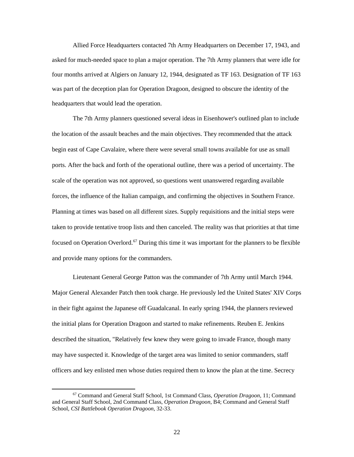Allied Force Headquarters contacted 7th Army Headquarters on December 17, 1943, and asked for much-needed space to plan a major operation. The 7th Army planners that were idle for four months arrived at Algiers on January 12, 1944, designated as TF 163. Designation of TF 163 was part of the deception plan for Operation Dragoon, designed to obscure the identity of the headquarters that would lead the operation.

The 7th Army planners questioned several ideas in Eisenhower's outlined plan to include the location of the assault beaches and the main objectives. They recommended that the attack begin east of Cape Cavalaire, where there were several small towns available for use as small ports. After the back and forth of the operational outline, there was a period of uncertainty. The scale of the operation was not approved, so questions went unanswered regarding available forces, the influence of the Italian campaign, and confirming the objectives in Southern France. Planning at times was based on all different sizes. Supply requisitions and the initial steps were taken to provide tentative troop lists and then canceled. The reality was that priorities at that time focused on Operation Overlord.<sup>67</sup> During this time it was important for the planners to be flexible and provide many options for the commanders.

Lieutenant General George Patton was the commander of 7th Army until March 1944. Major General Alexander Patch then took charge. He previously led the United States' XIV Corps in their fight against the Japanese off Guadalcanal. In early spring 1944, the planners reviewed the initial plans for Operation Dragoon and started to make refinements. Reuben E. Jenkins described the situation, "Relatively few knew they were going to invade France, though many may have suspected it. Knowledge of the target area was limited to senior commanders, staff officers and key enlisted men whose duties required them to know the plan at the time. Secrecy

<span id="page-29-0"></span> <sup>67</sup> Command and General Staff School, 1st Command Class, *Operation Dragoon*, 11; Command and General Staff School, 2nd Command Class, *Operation Dragoon*, B4; Command and General Staff School, *CSI Battlebook Operation Dragoon*, 32-33.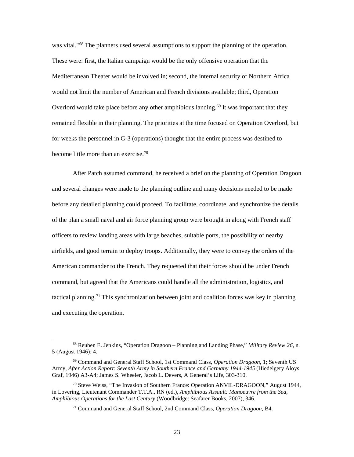was vital."<sup>[68](#page-30-0)</sup> The planners used several assumptions to support the planning of the operation. These were: first, the Italian campaign would be the only offensive operation that the Mediterranean Theater would be involved in; second, the internal security of Northern Africa would not limit the number of American and French divisions available; third, Operation Overlord would take place before any other amphibious landing.<sup>[69](#page-30-1)</sup> It was important that they remained flexible in their planning. The priorities at the time focused on Operation Overlord, but for weeks the personnel in G-3 (operations) thought that the entire process was destined to become little more than an exercise.<sup>[70](#page-30-2)</sup>

After Patch assumed command, he received a brief on the planning of Operation Dragoon and several changes were made to the planning outline and many decisions needed to be made before any detailed planning could proceed. To facilitate, coordinate, and synchronize the details of the plan a small naval and air force planning group were brought in along with French staff officers to review landing areas with large beaches, suitable ports, the possibility of nearby airfields, and good terrain to deploy troops. Additionally, they were to convey the orders of the American commander to the French. They requested that their forces should be under French command, but agreed that the Americans could handle all the administration, logistics, and tactical planning.<sup>[71](#page-30-3)</sup> This synchronization between joint and coalition forces was key in planning and executing the operation.

<span id="page-30-0"></span> <sup>68</sup> Reuben E. Jenkins, "Operation Dragoon – Planning and Landing Phase," *Military Review 26,* n. 5 (August 1946): 4.

<span id="page-30-1"></span><sup>69</sup> Command and General Staff School, 1st Command Class, *Operation Dragoon*, 1; Seventh US Army, *After Action Report: Seventh Army in Southern France and Germany 1944-1945* (Hiedelgery Aloys Graf, 1946) A3-A4; James S. Wheeler, Jacob L. Devers, A General's Life, 303-310.

<span id="page-30-3"></span><span id="page-30-2"></span><sup>70</sup> Steve Weiss, "The Invasion of Southern France: Operation ANVIL-DRAGOON," August 1944, in Lovering, Lieutenant Commander T.T.A., RN (ed.), *Amphibious Assault: Manoeuvre from the Sea, Amphibious Operations for the Last Century* (Woodbridge: Seafarer Books, 2007), 346.

<sup>71</sup> Command and General Staff School, 2nd Command Class, *Operation Dragoon*, B4.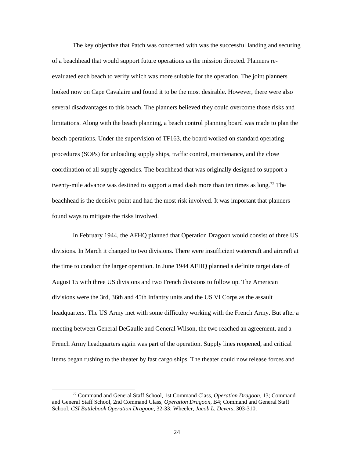The key objective that Patch was concerned with was the successful landing and securing of a beachhead that would support future operations as the mission directed. Planners reevaluated each beach to verify which was more suitable for the operation. The joint planners looked now on Cape Cavalaire and found it to be the most desirable. However, there were also several disadvantages to this beach. The planners believed they could overcome those risks and limitations. Along with the beach planning, a beach control planning board was made to plan the beach operations. Under the supervision of TF163, the board worked on standard operating procedures (SOPs) for unloading supply ships, traffic control, maintenance, and the close coordination of all supply agencies. The beachhead that was originally designed to support a twenty-mile advance was destined to support a mad dash more than ten times as long.<sup>[72](#page-31-0)</sup> The beachhead is the decisive point and had the most risk involved. It was important that planners found ways to mitigate the risks involved.

In February 1944, the AFHQ planned that Operation Dragoon would consist of three US divisions. In March it changed to two divisions. There were insufficient watercraft and aircraft at the time to conduct the larger operation. In June 1944 AFHQ planned a definite target date of August 15 with three US divisions and two French divisions to follow up. The American divisions were the 3rd, 36th and 45th Infantry units and the US VI Corps as the assault headquarters. The US Army met with some difficulty working with the French Army. But after a meeting between General DeGaulle and General Wilson, the two reached an agreement, and a French Army headquarters again was part of the operation. Supply lines reopened, and critical items began rushing to the theater by fast cargo ships. The theater could now release forces and

<span id="page-31-0"></span> <sup>72</sup> Command and General Staff School, 1st Command Class, *Operation Dragoon*, 13; Command and General Staff School, 2nd Command Class, *Operation Dragoon*, B4; Command and General Staff School, *CSI Battlebook Operation Dragoon*, 32-33; Wheeler, *Jacob L. Devers*, 303-310.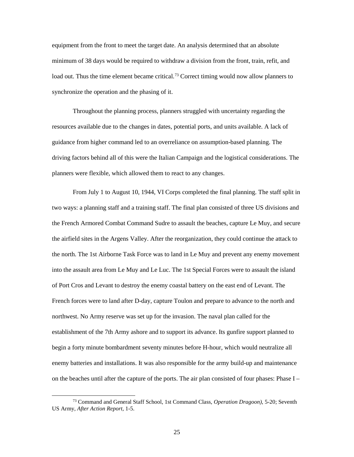equipment from the front to meet the target date. An analysis determined that an absolute minimum of 38 days would be required to withdraw a division from the front, train, refit, and load out. Thus the time element became critical.<sup>[73](#page-32-0)</sup> Correct timing would now allow planners to synchronize the operation and the phasing of it.

Throughout the planning process, planners struggled with uncertainty regarding the resources available due to the changes in dates, potential ports, and units available. A lack of guidance from higher command led to an overreliance on assumption-based planning. The driving factors behind all of this were the Italian Campaign and the logistical considerations. The planners were flexible, which allowed them to react to any changes.

From July 1 to August 10, 1944, VI Corps completed the final planning. The staff split in two ways: a planning staff and a training staff. The final plan consisted of three US divisions and the French Armored Combat Command Sudre to assault the beaches, capture Le Muy, and secure the airfield sites in the Argens Valley. After the reorganization, they could continue the attack to the north. The 1st Airborne Task Force was to land in Le Muy and prevent any enemy movement into the assault area from Le Muy and Le Luc. The 1st Special Forces were to assault the island of Port Cros and Levant to destroy the enemy coastal battery on the east end of Levant. The French forces were to land after D-day, capture Toulon and prepare to advance to the north and northwest. No Army reserve was set up for the invasion. The naval plan called for the establishment of the 7th Army ashore and to support its advance. Its gunfire support planned to begin a forty minute bombardment seventy minutes before H-hour, which would neutralize all enemy batteries and installations. It was also responsible for the army build-up and maintenance on the beaches until after the capture of the ports. The air plan consisted of four phases: Phase I –

<span id="page-32-0"></span> <sup>73</sup> Command and General Staff School, 1st Command Class, *Operation Dragoon)*, 5-20; Seventh US Army, *After Action Report*, 1-5.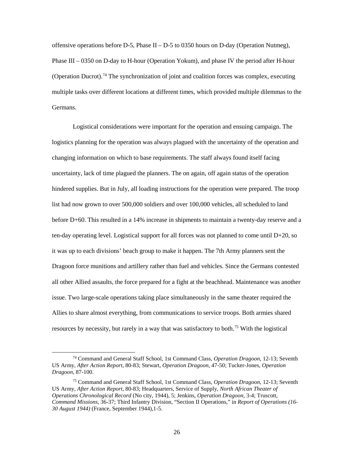offensive operations before D-5, Phase II – D-5 to 0350 hours on D-day (Operation Nutmeg), Phase III – 0350 on D-day to H-hour (Operation Yokum), and phase IV the period after H-hour (Operation Ducrot).<sup>[74](#page-33-0)</sup> The synchronization of joint and coalition forces was complex, executing multiple tasks over different locations at different times, which provided multiple dilemmas to the Germans.

Logistical considerations were important for the operation and ensuing campaign. The logistics planning for the operation was always plagued with the uncertainty of the operation and changing information on which to base requirements. The staff always found itself facing uncertainty, lack of time plagued the planners. The on again, off again status of the operation hindered supplies. But in July, all loading instructions for the operation were prepared. The troop list had now grown to over 500,000 soldiers and over 100,000 vehicles, all scheduled to land before D+60. This resulted in a 14% increase in shipments to maintain a twenty-day reserve and a ten-day operating level. Logistical support for all forces was not planned to come until  $D+20$ , so it was up to each divisions' beach group to make it happen. The 7th Army planners sent the Dragoon force munitions and artillery rather than fuel and vehicles. Since the Germans contested all other Allied assaults, the force prepared for a fight at the beachhead. Maintenance was another issue. Two large-scale operations taking place simultaneously in the same theater required the Allies to share almost everything, from communications to service troops. Both armies shared resources by necessity, but rarely in a way that was satisfactory to both.<sup>[75](#page-33-1)</sup> With the logistical

<span id="page-33-0"></span> <sup>74</sup> Command and General Staff School, 1st Command Class, *Operation Dragoon*, 12-13; Seventh US Army, *After Action Report*, 80-83; Stewart, *Operation Dragoon*, 47-50; Tucker-Jones, *Operation Dragoon*, 87-100.

<span id="page-33-1"></span><sup>75</sup> Command and General Staff School, 1st Command Class, *Operation Dragoon*, 12-13; Seventh US Army, *After Action Report*, 80-83; Headquarters, Service of Supply, *North African Theater of Operations Chronological Record* (No city, 1944), 5; Jenkins, *Operation Dragoon*, 3-4; Truscott, *Command Missions*, 36-37; Third Infantry Division, "Section II Operations," in *Report of Operations (16- 30 August 1944)* (France, September 1944),1-5.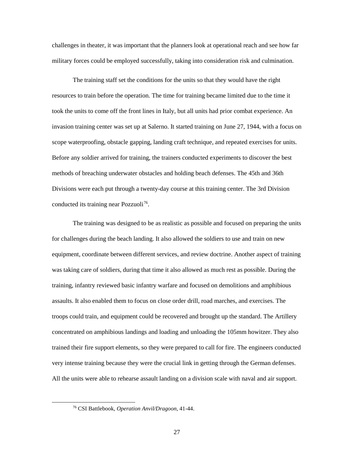challenges in theater, it was important that the planners look at operational reach and see how far military forces could be employed successfully, taking into consideration risk and culmination.

The training staff set the conditions for the units so that they would have the right resources to train before the operation. The time for training became limited due to the time it took the units to come off the front lines in Italy, but all units had prior combat experience. An invasion training center was set up at Salerno. It started training on June 27, 1944, with a focus on scope waterproofing, obstacle gapping, landing craft technique, and repeated exercises for units. Before any soldier arrived for training, the trainers conducted experiments to discover the best methods of breaching underwater obstacles and holding beach defenses. The 45th and 36th Divisions were each put through a twenty-day course at this training center. The 3rd Division conducted its training near Pozzuoli<sup>76</sup>.

The training was designed to be as realistic as possible and focused on preparing the units for challenges during the beach landing. It also allowed the soldiers to use and train on new equipment, coordinate between different services, and review doctrine. Another aspect of training was taking care of soldiers, during that time it also allowed as much rest as possible. During the training, infantry reviewed basic infantry warfare and focused on demolitions and amphibious assaults. It also enabled them to focus on close order drill, road marches, and exercises. The troops could train, and equipment could be recovered and brought up the standard. The Artillery concentrated on amphibious landings and loading and unloading the 105mm howitzer. They also trained their fire support elements, so they were prepared to call for fire. The engineers conducted very intense training because they were the crucial link in getting through the German defenses. All the units were able to rehearse assault landing on a division scale with naval and air support.

<span id="page-34-0"></span> <sup>76</sup> CSI Battlebook, *Operation Anvil/Dragoon*, 41-44.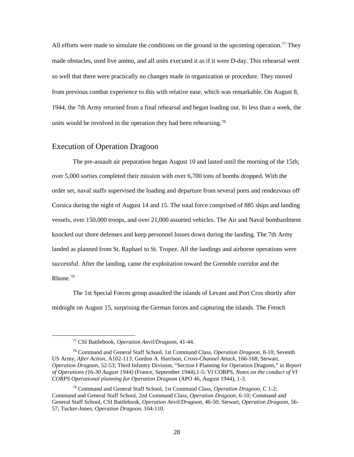All efforts were made to simulate the conditions on the ground in the upcoming operation.<sup>[77](#page-35-1)</sup> They made obstacles, used live ammo, and all units executed it as if it were D-day. This rehearsal went so well that there were practically no changes made in organization or procedure. They moved from previous combat experience to this with relative ease, which was remarkable. On August 8, 1944, the 7th Army returned from a final rehearsal and began loading out. In less than a week, the units would be involved in the operation they had been rehearsing.<sup>[78](#page-35-2)</sup>

#### <span id="page-35-0"></span>Execution of Operation Dragoon

The pre-assault air preparation began August 10 and lasted until the morning of the 15th; over 5,000 sorties completed their mission with over 6,700 tons of bombs dropped. With the order set, naval staffs supervised the loading and departure from several ports and rendezvous off Corsica during the night of August 14 and 15. The total force comprised of 885 ships and landing vessels, over 150,000 troops, and over 21,000 assorted vehicles. The Air and Naval bombardment knocked out shore defenses and keep personnel losses down during the landing. The 7th Army landed as planned from St. Raphael to St. Tropez. All the landings and airborne operations were successful. After the landing, came the exploitation toward the Grenoble corridor and the Rhone.[79](#page-35-3)

The 1st Special Forces group assaulted the islands of Levant and Port Cros shortly after midnight on August 15, surprising the German forces and capturing the islands. The French

 <sup>77</sup> CSI Battlebook, *Operation Anvil/Dragoon*, 41-44.

<span id="page-35-2"></span><span id="page-35-1"></span><sup>78</sup> Command and General Staff School, 1st Command Class, *Operation Dragoon*, 8-10; Seventh US Army, *After Action*, A102-113; Gordon A. Harrison*, Cross-Channel Attack*, 166-168; Stewart, *Operation Dragoon*, 52-53; Third Infantry Division, "Section I Planning for Operation Dragoon," in *Report of Operations (16-30 August 1944)* (France, September 1944),1-5; VI CORPS, *Notes on the conduct of VI CORPS Operational planning for Operation Dragoon* (APO 46, August 1944), 1-3.

<span id="page-35-3"></span><sup>79</sup> Command and General Staff School, 1st Command Class, *Operation Dragoon,* C 1-2; Command and General Staff School, 2nd Command Class, *Operation Dragoon*, 6-10; Command and General Staff School, CSI Battlebook, *Operation Anvil/Dragoon*, 46-50; Stewart, *Operation Dragoon*, 56- 57; Tucker-Jones, *Operation Dragoon*, 104-110.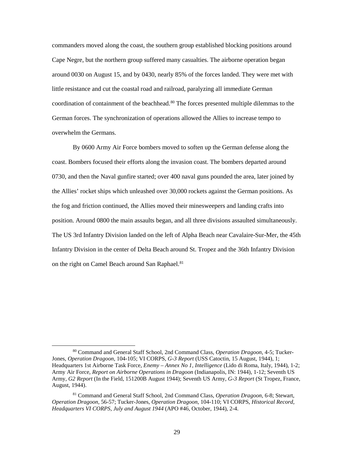commanders moved along the coast, the southern group established blocking positions around Cape Negre, but the northern group suffered many casualties. The airborne operation began around 0030 on August 15, and by 0430, nearly 85% of the forces landed. They were met with little resistance and cut the coastal road and railroad, paralyzing all immediate German coordination of containment of the beachhead.<sup>[80](#page-36-0)</sup> The forces presented multiple dilemmas to the German forces. The synchronization of operations allowed the Allies to increase tempo to overwhelm the Germans.

By 0600 Army Air Force bombers moved to soften up the German defense along the coast. Bombers focused their efforts along the invasion coast. The bombers departed around 0730, and then the Naval gunfire started; over 400 naval guns pounded the area, later joined by the Allies' rocket ships which unleashed over 30,000 rockets against the German positions. As the fog and friction continued, the Allies moved their minesweepers and landing crafts into position. Around 0800 the main assaults began, and all three divisions assaulted simultaneously. The US 3rd Infantry Division landed on the left of Alpha Beach near Cavalaire-Sur-Mer, the 45th Infantry Division in the center of Delta Beach around St. Tropez and the 36th Infantry Division on the right on Camel Beach around San Raphael.<sup>[81](#page-36-1)</sup>

<span id="page-36-0"></span> <sup>80</sup> Command and General Staff School, 2nd Command Class, *Operation Dragoon*, 4-5; Tucker-Jones, *Operation Dragoon*, 104-105; VI CORPS, *G-3 Report* (USS Catoctin, 15 August, 1944), 1; Headquarters 1st Airborne Task Force, *Enemy – Annex No 1, Intelligence* (Lido di Roma, Italy, 1944), 1-2; Army Air Force, *Report on Airborne Operations in Dragoon* (Indianapolis, IN: 1944), 1-12; Seventh US Army, *G2 Report* (In the Field, 151200B August 1944); Seventh US Army, *G-3 Report* (St Tropez, France, August, 1944).

<span id="page-36-1"></span><sup>81</sup> Command and General Staff School, 2nd Command Class, *Operation Dragoon*, 6-8; Stewart, *Operation Dragoon,* 56-57; Tucker-Jones, *Operation Dragoon*, 104-110; VI CORPS, *Historical Record, Headquarters VI CORPS, July and August 1944* (APO #46, October, 1944), 2-4.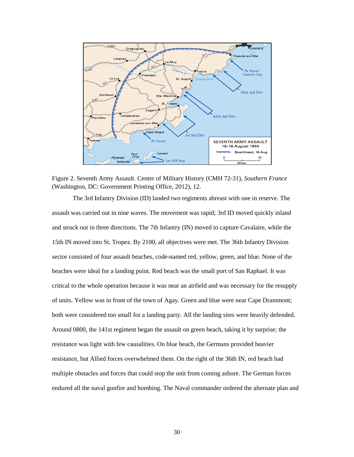

Figure 2. Seventh Army Assault. Center of Military History (CMH 72-31), *Southern France* (Washington, DC: Government Printing Office, 2012), 12.

The 3rd Infantry Division (ID) landed two regiments abreast with one in reserve. The assault was carried out in nine waves. The movement was rapid; 3rd ID moved quickly inland and struck out in three directions. The 7th Infantry (IN) moved to capture Cavalaire, while the 15th IN moved into St. Tropez. By 2100, all objectives were met. The 36th Infantry Division sector consisted of four assault beaches, code-named red, yellow, green, and blue. None of the beaches were ideal for a landing point. Red beach was the small port of San Raphael. It was critical to the whole operation because it was near an airfield and was necessary for the resupply of units. Yellow was in front of the town of Agay. Green and blue were near Cape Drammont; both were considered too small for a landing party. All the landing sites were heavily defended. Around 0800, the 141st regiment began the assault on green beach, taking it by surprise; the resistance was light with few causalities. On blue beach, the Germans provided heavier resistance, but Allied forces overwhelmed them. On the right of the 36th IN, red beach had multiple obstacles and forces that could stop the unit from coming ashore. The German forces endured all the naval gunfire and bombing. The Naval commander ordered the alternate plan and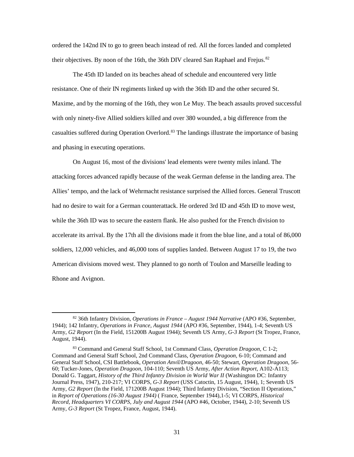ordered the 142nd IN to go to green beach instead of red. All the forces landed and completed their objectives. By noon of the 16th, the 36th DIV cleared San Raphael and Frejus.<sup>[82](#page-38-0)</sup>

The 45th ID landed on its beaches ahead of schedule and encountered very little resistance. One of their IN regiments linked up with the 36th ID and the other secured St. Maxime, and by the morning of the 16th, they won Le Muy. The beach assaults proved successful with only ninety-five Allied soldiers killed and over 380 wounded, a big difference from the casualties suffered during Operation Overlord.<sup>[83](#page-38-1)</sup> The landings illustrate the importance of basing and phasing in executing operations.

On August 16, most of the divisions' lead elements were twenty miles inland. The attacking forces advanced rapidly because of the weak German defense in the landing area. The Allies' tempo, and the lack of Wehrmacht resistance surprised the Allied forces. General Truscott had no desire to wait for a German counterattack. He ordered 3rd ID and 45th ID to move west, while the 36th ID was to secure the eastern flank. He also pushed for the French division to accelerate its arrival. By the 17th all the divisions made it from the blue line, and a total of 86,000 soldiers, 12,000 vehicles, and 46,000 tons of supplies landed. Between August 17 to 19, the two American divisions moved west. They planned to go north of Toulon and Marseille leading to Rhone and Avignon.

<span id="page-38-0"></span> <sup>82</sup> 36th Infantry Division, *Operations in France – August 1944 Narrative* (APO #36, September, 1944); 142 Infantry, *Operations in France, August 1944* (APO #36, September, 1944), 1-4; Seventh US Army, *G2 Report* (In the Field, 151200B August 1944); Seventh US Army, *G-3 Report* (St Tropez, France, August, 1944).

<span id="page-38-1"></span><sup>83</sup> Command and General Staff School, 1st Command Class, *Operation Dragoon*, C 1-2; Command and General Staff School, 2nd Command Class, *Operation Dragoon*, 6-10; Command and General Staff School, CSI Battlebook, *Operation Anvil/Dragoon*, 46-50; Stewart, *Operation Dragoon*, 56- 60; Tucker-Jones, *Operation Dragoon*, 104-110; Seventh US Army, *After Action Report*, A102-A113; Donald G. Taggart, *History of the Third Infantry Division in World War II* (Washington DC: Infantry Journal Press, 1947), 210-217; VI CORPS, *G-3 Report* (USS Catoctin, 15 August, 1944), 1; Seventh US Army, *G2 Report* (In the Field, 171200B August 1944); Third Infantry Division, "Section II Operations," in *Report of Operations (16-30 August 1944)* ( France, September 1944),1-5; VI CORPS, *Historical Record, Headquarters VI CORPS, July and August 1944* (APO #46, October, 1944), 2-10; Seventh US Army, *G-3 Report* (St Tropez, France, August, 1944).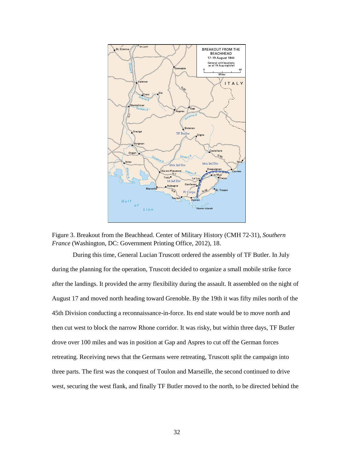

Figure 3. Breakout from the Beachhead. Center of Military History (CMH 72-31), *Southern France* (Washington, DC: Government Printing Office, 2012), 18.

During this time, General Lucian Truscott ordered the assembly of TF Butler. In July during the planning for the operation, Truscott decided to organize a small mobile strike force after the landings. It provided the army flexibility during the assault. It assembled on the night of August 17 and moved north heading toward Grenoble. By the 19th it was fifty miles north of the 45th Division conducting a reconnaissance-in-force. Its end state would be to move north and then cut west to block the narrow Rhone corridor. It was risky, but within three days, TF Butler drove over 100 miles and was in position at Gap and Aspres to cut off the German forces retreating. Receiving news that the Germans were retreating, Truscott split the campaign into three parts. The first was the conquest of Toulon and Marseille, the second continued to drive west, securing the west flank, and finally TF Butler moved to the north, to be directed behind the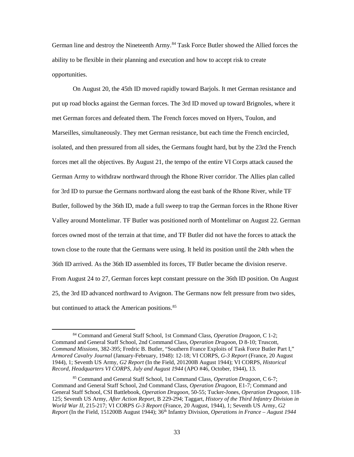German line and destroy the Nineteenth Army.<sup>[84](#page-40-0)</sup> Task Force Butler showed the Allied forces the ability to be flexible in their planning and execution and how to accept risk to create opportunities.

On August 20, the 45th ID moved rapidly toward Barjols. It met German resistance and put up road blocks against the German forces. The 3rd ID moved up toward Brignoles, where it met German forces and defeated them. The French forces moved on Hyers, Toulon, and Marseilles, simultaneously. They met German resistance, but each time the French encircled, isolated, and then pressured from all sides, the Germans fought hard, but by the 23rd the French forces met all the objectives. By August 21, the tempo of the entire VI Corps attack caused the German Army to withdraw northward through the Rhone River corridor. The Allies plan called for 3rd ID to pursue the Germans northward along the east bank of the Rhone River, while TF Butler, followed by the 36th ID, made a full sweep to trap the German forces in the Rhone River Valley around Montelimar. TF Butler was positioned north of Montelimar on August 22. German forces owned most of the terrain at that time, and TF Butler did not have the forces to attack the town close to the route that the Germans were using. It held its position until the 24th when the 36th ID arrived. As the 36th ID assembled its forces, TF Butler became the division reserve. From August 24 to 27, German forces kept constant pressure on the 36th ID position. On August 25, the 3rd ID advanced northward to Avignon. The Germans now felt pressure from two sides, but continued to attack the American positions.<sup>[85](#page-40-1)</sup>

<span id="page-40-0"></span> <sup>84</sup> Command and General Staff School, 1st Command Class, *Operation Dragoon*, C 1-2; Command and General Staff School, 2nd Command Class, *Operation Dragoon*, D 8-10; Truscott, *Command Missions*, 382-395; Fredric B. Butler, "Southern France Exploits of Task Force Butler Part I," *Armored Cavalry Journal* (January-February, 1948): 12-18; VI CORPS, *G-3 Report* (France, 20 August 1944), 1; Seventh US Army, *G2 Report* (In the Field, 201200B August 1944); VI CORPS, *Historical Record, Headquarters VI CORPS, July and August 1944* (APO #46, October, 1944), 13.

<span id="page-40-1"></span><sup>85</sup> Command and General Staff School, 1st Command Class, *Operation Dragoon*, C 6-7; Command and General Staff School, 2nd Command Class, *Operation Dragoon*, E1-7; Command and General Staff School, CSI Battlebook, *Operation Dragoon*, 50-55; Tucker-Jones, *Operation Dragoon,* 118- 125; Seventh US Army, *After Action Report,* B 229-294; Taggart, *History of the Third Infantry Division in World War II*, 215-217; VI CORPS *G-3 Report* (France, 20 August, 1944), 1; Seventh US Army, *G2 Report* (In the Field, 151200B August 1944); 36<sup>th</sup> Infantry Division, *Operations in France – August 1944*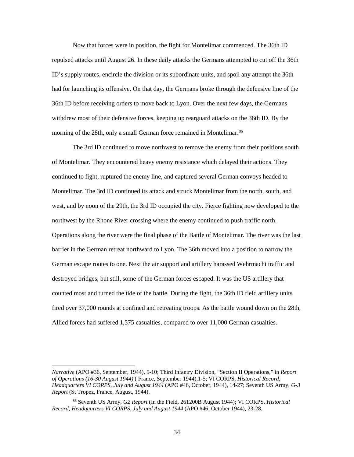Now that forces were in position, the fight for Montelimar commenced. The 36th ID repulsed attacks until August 26. In these daily attacks the Germans attempted to cut off the 36th ID's supply routes, encircle the division or its subordinate units, and spoil any attempt the 36th had for launching its offensive. On that day, the Germans broke through the defensive line of the 36th ID before receiving orders to move back to Lyon. Over the next few days, the Germans withdrew most of their defensive forces, keeping up rearguard attacks on the 36th ID. By the morning of the 28th, only a small German force remained in Montelimar.<sup>[86](#page-41-0)</sup>

The 3rd ID continued to move northwest to remove the enemy from their positions south of Montelimar. They encountered heavy enemy resistance which delayed their actions. They continued to fight, ruptured the enemy line, and captured several German convoys headed to Montelimar. The 3rd ID continued its attack and struck Montelimar from the north, south, and west, and by noon of the 29th, the 3rd ID occupied the city. Fierce fighting now developed to the northwest by the Rhone River crossing where the enemy continued to push traffic north. Operations along the river were the final phase of the Battle of Montelimar. The river was the last barrier in the German retreat northward to Lyon. The 36th moved into a position to narrow the German escape routes to one. Next the air support and artillery harassed Wehrmacht traffic and destroyed bridges, but still, some of the German forces escaped. It was the US artillery that counted most and turned the tide of the battle. During the fight, the 36th ID field artillery units fired over 37,000 rounds at confined and retreating troops. As the battle wound down on the 28th, Allied forces had suffered 1,575 casualties, compared to over 11,000 German casualties.

 $\overline{a}$ 

*Narrative* (APO #36, September, 1944), 5-10; Third Infantry Division, "Section II Operations," in *Report of Operations (16-30 August 1944)* ( France, September 1944),1-5; VI CORPS, *Historical Record, Headquarters VI CORPS, July and August 1944* (APO #46, October, 1944), 14-27; Seventh US Army, *G-3 Report* (St Tropez, France, August, 1944).

<span id="page-41-0"></span><sup>86</sup> Seventh US Army, *G2 Report* (In the Field, 261200B August 1944); VI CORPS, *Historical Record, Headquarters VI CORPS, July and August 1944* (APO #46, October 1944), 23-28.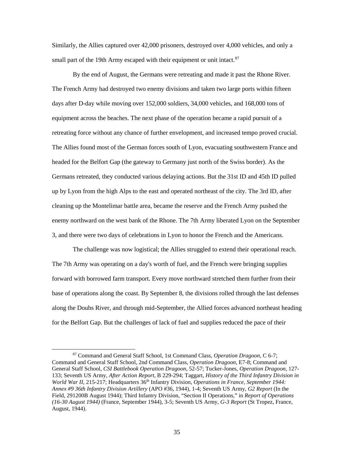Similarly, the Allies captured over 42,000 prisoners, destroyed over 4,000 vehicles, and only a small part of the 19th Army escaped with their equipment or unit intact.<sup>[87](#page-42-0)</sup>

By the end of August, the Germans were retreating and made it past the Rhone River. The French Army had destroyed two enemy divisions and taken two large ports within fifteen days after D-day while moving over 152,000 soldiers, 34,000 vehicles, and 168,000 tons of equipment across the beaches. The next phase of the operation became a rapid pursuit of a retreating force without any chance of further envelopment, and increased tempo proved crucial. The Allies found most of the German forces south of Lyon, evacuating southwestern France and headed for the Belfort Gap (the gateway to Germany just north of the Swiss border). As the Germans retreated, they conducted various delaying actions. But the 31st ID and 45th ID pulled up by Lyon from the high Alps to the east and operated northeast of the city. The 3rd ID, after cleaning up the Montelimar battle area, became the reserve and the French Army pushed the enemy northward on the west bank of the Rhone. The 7th Army liberated Lyon on the September 3, and there were two days of celebrations in Lyon to honor the French and the Americans.

The challenge was now logistical; the Allies struggled to extend their operational reach. The 7th Army was operating on a day's worth of fuel, and the French were bringing supplies forward with borrowed farm transport. Every move northward stretched them further from their base of operations along the coast. By September 8, the divisions rolled through the last defenses along the Doubs River, and through mid-September, the Allied forces advanced northeast heading for the Belfort Gap. But the challenges of lack of fuel and supplies reduced the pace of their

<span id="page-42-0"></span> <sup>87</sup> Command and General Staff School, 1st Command Class, *Operation Dragoon*, C 6-7; Command and General Staff School, 2nd Command Class, *Operation Dragoon*, E7-8; Command and General Staff School, *CSI Battlebook Operation Dragoon*, 52-57; Tucker-Jones, *Operation Dragoon*, 127- 133; Seventh US Army, *After Action Report*, B 229-294; Taggart, *History of the Third Infantry Division in World War II*, 215-217; Headquarters 36th Infantry Division, *Operations in France, September 1944: Annex #9 36th Infantry Division Artillery* (APO #36, 1944), 1-4; Seventh US Army, *G2 Report* (In the Field, 291200B August 1944); Third Infantry Division, "Section II Operations," in *Report of Operations (16-30 August 1944)* (France, September 1944), 3-5; Seventh US Army, *G-3 Report* (St Tropez, France, August, 1944).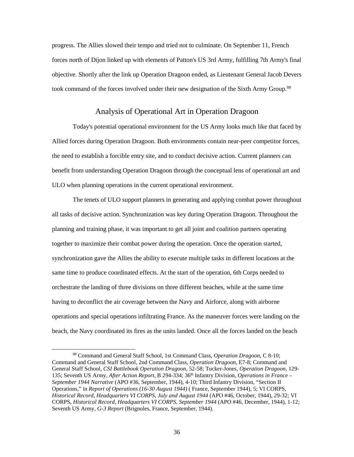progress. The Allies slowed their tempo and tried not to culminate. On September 11, French forces north of Dijon linked up with elements of Patton's US 3rd Army, fulfilling 7th Army's final objective. Shortly after the link up Operation Dragoon ended, as Lieutenant General Jacob Devers took command of the forces involved under their new designation of the Sixth Army Group.<sup>[88](#page-43-1)</sup>

### Analysis of Operational Art in Operation Dragoon

<span id="page-43-0"></span>Today's potential operational environment for the US Army looks much like that faced by Allied forces during Operation Dragoon. Both environments contain near-peer competitor forces, the need to establish a forcible entry site, and to conduct decisive action. Current planners can benefit from understanding Operation Dragoon through the conceptual lens of operational art and ULO when planning operations in the current operational environment.

The tenets of ULO support planners in generating and applying combat power throughout all tasks of decisive action. Synchronization was key during Operation Dragoon. Throughout the planning and training phase, it was important to get all joint and coalition partners operating together to maximize their combat power during the operation. Once the operation started, synchronization gave the Allies the ability to execute multiple tasks in different locations at the same time to produce coordinated effects. At the start of the operation, 6th Corps needed to orchestrate the landing of three divisions on three different beaches, while at the same time having to deconflict the air coverage between the Navy and Airforce, along with airborne operations and special operations infiltrating France. As the maneuver forces were landing on the beach, the Navy coordinated its fires as the units landed. Once all the forces landed on the beach

<span id="page-43-1"></span> <sup>88</sup> Command and General Staff School, 1st Command Class, *Operation Dragoon*, C 8-10; Command and General Staff School, 2nd Command Class, *Operation Dragoon*, E7-8; Command and General Staff School, *CSI Battlebook Operation Dragoon*, 52-58; Tucker-Jones, *Operation Dragoon*, 129- 135; Seventh US Army, *After Action Report*, B 294-334; 36th Infantry Division, *Operations in France – September 1944 Narrative* (APO #36, September, 1944), 4-10; Third Infantry Division, "Section II Operations," in *Report of Operations (16-30 August 1944)* ( France, September 1944), 5; VI CORPS, *Historical Record, Headquarters VI CORPS, July and August 1944* (APO #46, October, 1944), 29-32; VI CORPS, *Historical Record, Headquarters VI CORPS, September 1944* (APO #46, December, 1944), 1-12; Seventh US Army, *G-3 Report* (Brignoles, France, September, 1944).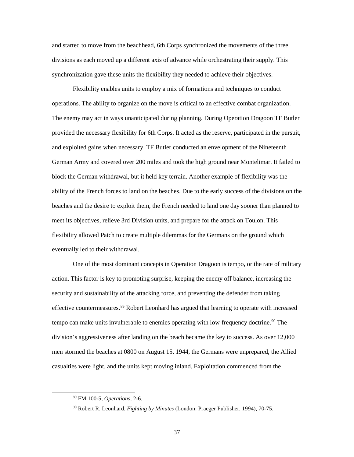and started to move from the beachhead, 6th Corps synchronized the movements of the three divisions as each moved up a different axis of advance while orchestrating their supply. This synchronization gave these units the flexibility they needed to achieve their objectives.

Flexibility enables units to employ a mix of formations and techniques to conduct operations. The ability to organize on the move is critical to an effective combat organization. The enemy may act in ways unanticipated during planning. During Operation Dragoon TF Butler provided the necessary flexibility for 6th Corps. It acted as the reserve, participated in the pursuit, and exploited gains when necessary. TF Butler conducted an envelopment of the Nineteenth German Army and covered over 200 miles and took the high ground near Montelimar. It failed to block the German withdrawal, but it held key terrain. Another example of flexibility was the ability of the French forces to land on the beaches. Due to the early success of the divisions on the beaches and the desire to exploit them, the French needed to land one day sooner than planned to meet its objectives, relieve 3rd Division units, and prepare for the attack on Toulon. This flexibility allowed Patch to create multiple dilemmas for the Germans on the ground which eventually led to their withdrawal.

One of the most dominant concepts in Operation Dragoon is tempo, or the rate of military action. This factor is key to promoting surprise, keeping the enemy off balance, increasing the security and sustainability of the attacking force, and preventing the defender from taking effective countermeasures.<sup>[89](#page-44-0)</sup> Robert Leonhard has argued that learning to operate with increased tempo can make units invulnerable to enemies operating with low-frequency doctrine.<sup>[90](#page-44-1)</sup> The division's aggressiveness after landing on the beach became the key to success. As over 12,000 men stormed the beaches at 0800 on August 15, 1944, the Germans were unprepared, the Allied casualties were light, and the units kept moving inland. Exploitation commenced from the

<span id="page-44-1"></span><span id="page-44-0"></span> <sup>89</sup> FM 100-5, *Operations*, 2-6.

<sup>90</sup> Robert R. Leonhard, *Fighting by Minutes* (London: Praeger Publisher, 1994), 70-75.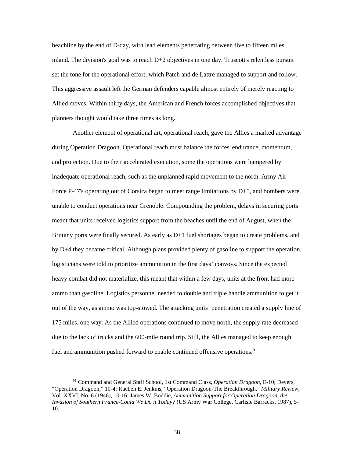beachline by the end of D-day, with lead elements penetrating between five to fifteen miles inland. The division's goal was to reach  $D+2$  objectives in one day. Truscott's relentless pursuit set the tone for the operational effort, which Patch and de Lattre managed to support and follow. This aggressive assault left the German defenders capable almost entirely of merely reacting to Allied moves. Within thirty days, the American and French forces accomplished objectives that planners thought would take three times as long.

Another element of operational art, operational reach, gave the Allies a marked advantage during Operation Dragoon. Operational reach must balance the forces' endurance, momentum, and protection. Due to their accelerated execution, some the operations were hampered by inadequate operational reach, such as the unplanned rapid movement to the north. Army Air Force P-47's operating out of Corsica began to meet range limitations by D+5, and bombers were unable to conduct operations near Grenoble. Compounding the problem, delays in securing ports meant that units received logistics support from the beaches until the end of August, when the Brittany ports were finally secured. As early as D+1 fuel shortages began to create problems, and by D+4 they became critical. Although plans provided plenty of gasoline to support the operation, logisticians were told to prioritize ammunition in the first days' convoys. Since the expected heavy combat did not materialize, this meant that within a few days, units at the front had more ammo than gasoline. Logistics personnel needed to double and triple handle ammunition to get it out of the way, as ammo was top-stowed. The attacking units' penetration created a supply line of 175 miles, one way. As the Allied operations continued to move north, the supply rate decreased due to the lack of trucks and the 600-mile round trip. Still, the Allies managed to keep enough fuel and ammunition pushed forward to enable continued offensive operations.<sup>[91](#page-45-0)</sup>

<span id="page-45-0"></span> <sup>91</sup> Command and General Staff School, 1st Command Class, *Operation Dragoon*, E-10; Devers, "Operation Dragoon," 10-4; Rueben E. Jenkins, "Operation Dragoon-The Breakthrough," *Military Review*, Vol. XXVI, No. 6 (1946), 10-16; James W. Boddie, *Ammunition Support for Operation Dragoon, the Invasion of Southern France-Could We Do it Today?* (US Army War College, Carlisle Barracks, 1987), 5- 10.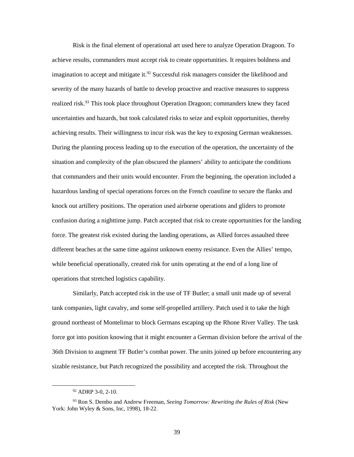Risk is the final element of operational art used here to analyze Operation Dragoon. To achieve results, commanders must accept risk to create opportunities. It requires boldness and imagination to accept and mitigate it.<sup>[92](#page-46-0)</sup> Successful risk managers consider the likelihood and severity of the many hazards of battle to develop proactive and reactive measures to suppress realized risk.<sup>[93](#page-46-1)</sup> This took place throughout Operation Dragoon; commanders knew they faced uncertainties and hazards, but took calculated risks to seize and exploit opportunities, thereby achieving results. Their willingness to incur risk was the key to exposing German weaknesses. During the planning process leading up to the execution of the operation, the uncertainty of the situation and complexity of the plan obscured the planners' ability to anticipate the conditions that commanders and their units would encounter. From the beginning, the operation included a hazardous landing of special operations forces on the French coastline to secure the flanks and knock out artillery positions. The operation used airborne operations and gliders to promote confusion during a nighttime jump. Patch accepted that risk to create opportunities for the landing force. The greatest risk existed during the landing operations, as Allied forces assaulted three different beaches at the same time against unknown enemy resistance. Even the Allies' tempo, while beneficial operationally, created risk for units operating at the end of a long line of operations that stretched logistics capability.

Similarly, Patch accepted risk in the use of TF Butler; a small unit made up of several tank companies, light cavalry, and some self-propelled artillery. Patch used it to take the high ground northeast of Montelimar to block Germans escaping up the Rhone River Valley. The task force got into position knowing that it might encounter a German division before the arrival of the 36th Division to augment TF Butler's combat power. The units joined up before encountering any sizable resistance, but Patch recognized the possibility and accepted the risk. Throughout the

<sup>&</sup>lt;sup>92</sup> ADRP 3-0, 2-10.

<span id="page-46-1"></span><span id="page-46-0"></span><sup>93</sup> Ron S. Dembo and Andrew Freeman, *Seeing Tomorrow: Rewriting the Rules of Risk* (New York: John Wyley & Sons, Inc, 1998), 18-22.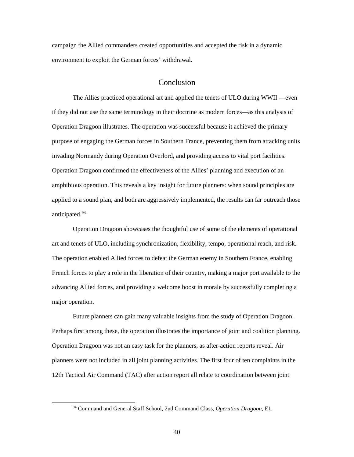campaign the Allied commanders created opportunities and accepted the risk in a dynamic environment to exploit the German forces' withdrawal.

## Conclusion

<span id="page-47-0"></span>The Allies practiced operational art and applied the tenets of ULO during WWII —even if they did not use the same terminology in their doctrine as modern forces—as this analysis of Operation Dragoon illustrates. The operation was successful because it achieved the primary purpose of engaging the German forces in Southern France, preventing them from attacking units invading Normandy during Operation Overlord, and providing access to vital port facilities. Operation Dragoon confirmed the effectiveness of the Allies' planning and execution of an amphibious operation. This reveals a key insight for future planners: when sound principles are applied to a sound plan, and both are aggressively implemented, the results can far outreach those anticipated[.94](#page-47-1)

Operation Dragoon showcases the thoughtful use of some of the elements of operational art and tenets of ULO, including synchronization, flexibility, tempo, operational reach, and risk. The operation enabled Allied forces to defeat the German enemy in Southern France, enabling French forces to play a role in the liberation of their country, making a major port available to the advancing Allied forces, and providing a welcome boost in morale by successfully completing a major operation.

Future planners can gain many valuable insights from the study of Operation Dragoon. Perhaps first among these, the operation illustrates the importance of joint and coalition planning. Operation Dragoon was not an easy task for the planners, as after-action reports reveal. Air planners were not included in all joint planning activities. The first four of ten complaints in the 12th Tactical Air Command (TAC) after action report all relate to coordination between joint

<span id="page-47-1"></span> <sup>94</sup> Command and General Staff School, 2nd Command Class, *Operation Dragoon*, E1.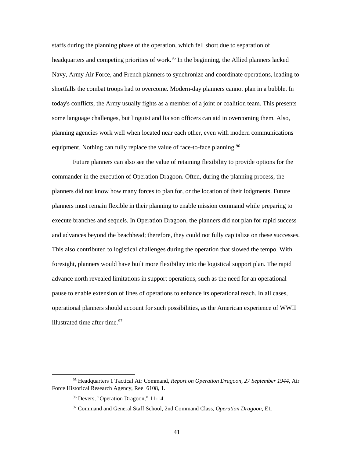staffs during the planning phase of the operation, which fell short due to separation of headquarters and competing priorities of work.<sup>[95](#page-48-0)</sup> In the beginning, the Allied planners lacked Navy, Army Air Force, and French planners to synchronize and coordinate operations, leading to shortfalls the combat troops had to overcome. Modern-day planners cannot plan in a bubble. In today's conflicts, the Army usually fights as a member of a joint or coalition team. This presents some language challenges, but linguist and liaison officers can aid in overcoming them. Also, planning agencies work well when located near each other, even with modern communications equipment. Nothing can fully replace the value of face-to-face planning.<sup>[96](#page-48-1)</sup>

Future planners can also see the value of retaining flexibility to provide options for the commander in the execution of Operation Dragoon. Often, during the planning process, the planners did not know how many forces to plan for, or the location of their lodgments. Future planners must remain flexible in their planning to enable mission command while preparing to execute branches and sequels. In Operation Dragoon, the planners did not plan for rapid success and advances beyond the beachhead; therefore, they could not fully capitalize on these successes. This also contributed to logistical challenges during the operation that slowed the tempo. With foresight, planners would have built more flexibility into the logistical support plan. The rapid advance north revealed limitations in support operations, such as the need for an operational pause to enable extension of lines of operations to enhance its operational reach. In all cases, operational planners should account for such possibilities, as the American experience of WWII illustrated time after time. [97](#page-48-2)

<span id="page-48-2"></span><span id="page-48-1"></span><span id="page-48-0"></span> <sup>95</sup> Headquarters 1 Tactical Air Command, *Report on Operation Dragoon, 27 September 1944,* Air Force Historical Research Agency, Reel 6108, 1.

<sup>96</sup> Devers, "Operation Dragoon," 11-14.

<sup>97</sup> Command and General Staff School, 2nd Command Class, *Operation Dragoon*, E1.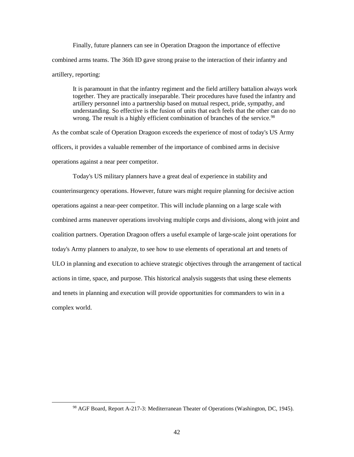Finally, future planners can see in Operation Dragoon the importance of effective combined arms teams. The 36th ID gave strong praise to the interaction of their infantry and artillery, reporting:

It is paramount in that the infantry regiment and the field artillery battalion always work together. They are practically inseparable. Their procedures have fused the infantry and artillery personnel into a partnership based on mutual respect, pride, sympathy, and understanding. So effective is the fusion of units that each feels that the other can do no wrong. The result is a highly efficient combination of branches of the service.<sup>[98](#page-49-0)</sup>

As the combat scale of Operation Dragoon exceeds the experience of most of today's US Army officers, it provides a valuable remember of the importance of combined arms in decisive operations against a near peer competitor.

Today's US military planners have a great deal of experience in stability and counterinsurgency operations. However, future wars might require planning for decisive action operations against a near-peer competitor. This will include planning on a large scale with combined arms maneuver operations involving multiple corps and divisions, along with joint and coalition partners. Operation Dragoon offers a useful example of large-scale joint operations for today's Army planners to analyze, to see how to use elements of operational art and tenets of ULO in planning and execution to achieve strategic objectives through the arrangement of tactical actions in time, space, and purpose. This historical analysis suggests that using these elements and tenets in planning and execution will provide opportunities for commanders to win in a complex world.

<span id="page-49-0"></span> <sup>98</sup> AGF Board, Report A-217-3: Mediterranean Theater of Operations (Washington, DC, 1945).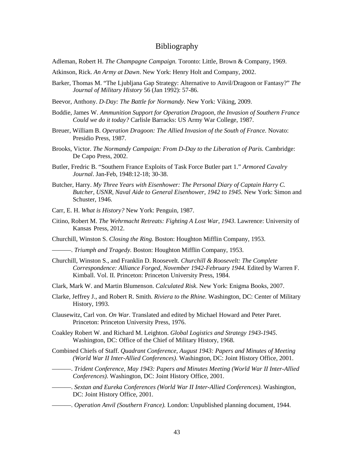#### Bibliography

- <span id="page-50-0"></span>Adleman, Robert H. *The Champagne Campaign.* Toronto: Little, Brown & Company, 1969.
- Atkinson, Rick. *An Army at Dawn*. New York: Henry Holt and Company, 2002.
- Barker, Thomas M. "The Ljubljana Gap Strategy: Alternative to Anvil/Dragoon or Fantasy?" *The Journal of Military History* 56 (Jan 1992): 57-86.
- Beevor, Anthony. *D-Day: The Battle for Normandy.* New York: Viking, 2009.
- Boddie, James W. *Ammunition Support for Operation Dragoon, the Invasion of Southern France Could we do it today?* Carlisle Barracks: US Army War College, 1987.
- Breuer, William B. *Operation Dragoon: The Allied Invasion of the South of France.* Novato: Presidio Press, 1987.
- Brooks, Victor. *The Normandy Campaign: From D-Day to the Liberation of Paris.* Cambridge: De Capo Press, 2002.
- Butler, Fredric B. "Southern France Exploits of Task Force Butler part 1." *Armored Cavalry Journal*. Jan-Feb, 1948:12-18; 30-38.
- Butcher, Harry. *My Three Years with Eisenhower: The Personal Diary of Captain Harry C. Butcher, USNR, Naval Aide to General Eisenhower, 1942 to 1945.* New York: Simon and Schuster, 1946.
- Carr, E. H. *What is History?* New York: Penguin, 1987.
- Citino, Robert M. *The Wehrmacht Retreats: Fighting A Lost War, 1943*. Lawrence: University of Kansas Press, 2012.
- Churchill, Winston S. *Closing the Ring.* Boston: Houghton Mifflin Company, 1953.
- ———. *Triumph and Tragedy.* Boston: Houghton Mifflin Company, 1953.
- Churchill, Winston S., and Franklin D. Roosevelt. *Churchill & Roosevelt: The Complete Correspondence: Alliance Forged, November 1942-February 1944.* Edited by Warren F. Kimball. Vol. II. Princeton: Princeton University Press, 1984.
- Clark, Mark W. and Martin Blumenson. *Calculated Risk*. New York: Enigma Books, 2007.
- Clarke, Jeffrey J., and Robert R. Smith. *Riviera to the Rhine.* Washington, DC: Center of Military History, 1993.
- Clausewitz, Carl von. *On War*. Translated and edited by Michael Howard and Peter Paret. Princeton: Princeton University Press, 1976.
- Coakley Robert W. and Richard M. Leighton. *Global Logistics and Strategy 1943-1945*. Washington, DC: Office of the Chief of Military History, 1968.
- Combined Chiefs of Staff. *Quadrant Conference, August 1943: Papers and Minutes of Meeting (World War II Inter-Allied Conferences)*. Washington, DC: Joint History Office, 2001.
- ———. *Trident Conference, May 1943: Papers and Minutes Meeting (World War II Inter-Allied Conferences)*. Washington, DC: Joint History Office, 2001.
- ———. *Sextan and Eureka Conferences (World War II Inter-Allied Conferences).* Washington, DC: Joint History Office, 2001.
- ———. *Operation Anvil (Southern France).* London: Unpublished planning document, 1944.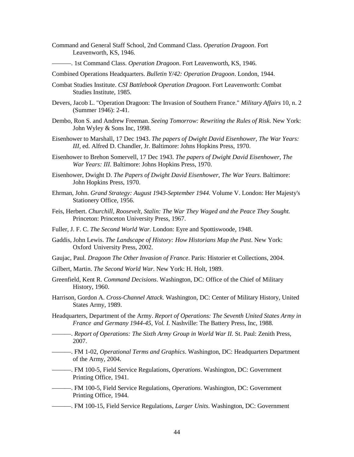- Command and General Staff School, 2nd Command Class. *Operation Dragoon*. Fort Leavenworth, KS, 1946.
- ———. 1st Command Class. *Operation Dragoon*. Fort Leavenworth, KS, 1946.

Combined Operations Headquarters. *Bulletin Y/42: Operation Dragoon*. London, 1944.

- Combat Studies Institute. *CSI Battlebook Operation Dragoon*. Fort Leavenworth: Combat Studies Institute, 1985.
- Devers, Jacob L. "Operation Dragoon: The Invasion of Southern France." *Military Affairs* 10, n. 2 (Summer 1946): 2-41.
- Dembo, Ron S. and Andrew Freeman. *Seeing Tomorrow: Rewriting the Rules of Risk*. New York: John Wyley & Sons Inc, 1998.
- Eisenhower to Marshall, 17 Dec 1943. *The papers of Dwight David Eisenhower, The War Years: III,* ed. Alfred D. Chandler, Jr. Baltimore: Johns Hopkins Press, 1970.
- Eisenhower to Brehon Somervell, 17 Dec 1943. *The papers of Dwight David Eisenhower, The War Years: III.* Baltimore: Johns Hopkins Press, 1970.
- Eisenhower, Dwight D. *The Papers of Dwight David Eisenhower, The War Years*. Baltimore: John Hopkins Press, 1970.
- Ehrman, John. *Grand Strategy: August 1943-September 1944.* Volume V. London: Her Majesty's Stationery Office, 1956.
- Feis, Herbert. *Churchill, Roosevelt, Stalin: The War They Waged and the Peace They Sought.*  Princeton: Princeton University Press, 1967.
- Fuller, J. F. C. *The Second World War*. London: Eyre and Spottiswoode, 1948.
- Gaddis, John Lewis. *The Landscape of History: How Historians Map the Past*. New York: Oxford University Press, 2002.
- Gaujac, Paul*. Dragoon The Other Invasion of France*. Paris: Historier et Collections, 2004.
- Gilbert, Martin. *The Second World War*. New York: H. Holt, 1989.
- Greenfield, Kent R. *Command Decisions*. Washington, DC: Office of the Chief of Military History, 1960.
- Harrison, Gordon A. *Cross-Channel Attack.* Washington, DC: Center of Military History, United States Army, 1989.
- Headquarters, Department of the Army. *Report of Operations: The Seventh United States Army in France and Germany 1944-45, Vol. I.* Nashville: The Battery Press, Inc, 1988*.*
- ———. *Report of Operations: The Sixth Army Group in World War II.* St. Paul: Zenith Press, 2007.
- ———. FM 1-02, *Operational Terms and Graphics*. Washington, DC: Headquarters Department of the Army, 2004.
- ———. FM 100-5, Field Service Regulations, *Operations*. Washington, DC: Government Printing Office, 1941.
- ———. FM 100-5, Field Service Regulations, *Operations*. Washington, DC: Government Printing Office, 1944.
- ———. FM 100-15, Field Service Regulations, *Larger Units*. Washington, DC: Government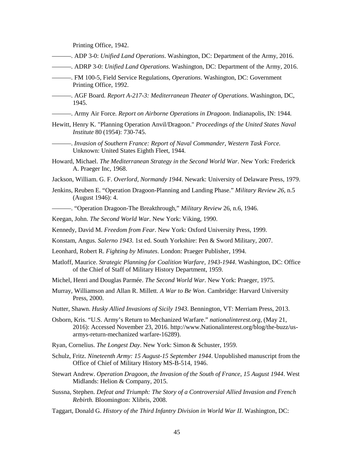Printing Office, 1942.

- ———. ADP 3-0: *Unified Land Operations*. Washington, DC: Department of the Army, 2016.
- ———. ADRP 3-0: *Unified Land Operations*. Washington, DC: Department of the Army, 2016.
- ———. FM 100-5, Field Service Regulations, *Operations*. Washington, DC: Government Printing Office, 1992.
- ———. AGF Board*. Report A-217-3: Mediterranean Theater of Operations*. Washington, DC, 1945.
- ———. Army Air Force*. Report on Airborne Operations in Dragoon*. Indianapolis, IN: 1944.
- Hewitt, Henry K. "Planning Operation Anvil/Dragoon." *Proceedings of the United States Naval Institute* 80 (1954): 730-745.
- ———. *Invasion of Southern France: Report of Naval Commander, Western Task Force.*  Unknown: United States Eighth Fleet, 1944.
- Howard, Michael. *The Mediterranean Strategy in the Second World War*. New York: Frederick A. Praeger Inc, 1968.
- Jackson, William. G. F. *Overlord, Normandy 1944*. Newark: University of Delaware Press, 1979.
- Jenkins, Reuben E. "Operation Dragoon-Planning and Landing Phase." *Military Review 26*, n.5 (August 1946): 4.
- ———. "Operation Dragoon-The Breakthrough," *Military Review* 26, n.6, 1946.
- Keegan, John. *The Second World War*. New York: Viking, 1990.
- Kennedy, David M. *Freedom from Fear*. New York: Oxford University Press, 1999.
- Konstam, Angus. *Salerno 1943*. 1st ed. South Yorkshire: Pen & Sword Military, 2007.
- Leonhard, Robert R. *Fighting by Minutes*. London: Praeger Publisher, 1994.
- Matloff, Maurice. *Strategic Planning for Coalition Warfare, 1943-1944*. Washington, DC: Office of the Chief of Staff of Military History Department, 1959.
- Michel, Henri and Douglas Parmée. *The Second World War*. New York: Praeger, 1975.
- Murray, Williamson and Allan R. Millett. *A War to Be Won*. Cambridge: Harvard University Press, 2000.
- Nutter, Shawn. *Husky Allied Invasions of Sicily 1943*. Bennington, VT: Merriam Press, 2013.
- Osborn, Kris. "U.S. Army's Return to Mechanized Warfare." *nationalinterest.org,* (May 21, 2016): Accessed November 23, 2016. http://www.Nationalinterest.org/blog/the-buzz/usarmys-return-mechanized warfare-16289).
- Ryan, Cornelius. *The Longest Day*. New York: Simon & Schuster, 1959.
- Schulz, Fritz. *Nineteenth Army: 15 August-15 September 1944*. Unpublished manuscript from the Office of Chief of Military History MS-B-514, 1946.
- Stewart Andrew. *Operation Dragoon, the Invasion of the South of France, 15 August 1944*. West Midlands: Helion & Company, 2015.
- Sussna, Stephen. *Defeat and Triumph: The Story of a Controversial Allied Invasion and French Rebirth.* Bloomington: Xlibris, 2008.
- Taggart, Donald G. *History of the Third Infantry Division in World War II*. Washington, DC: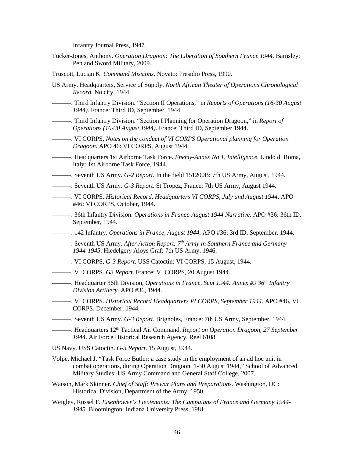Infantry Journal Press, 1947.

- Tucker-Jones, Anthony. *Operation Dragoon: The Liberation of Southern France 1944.* Barnsley: Pen and Sword Military, 2009.
- Truscott, Lucian K. *Command Missions*. Novato: Presidio Press, 1990.
- US Army. Headquarters, Service of Supply. *North African Theater of Operations Chronological Record.* No city, 1944.
- ———. Third Infantry Division. "Section II Operations," in *Reports of Operations (16-30 August 1944).* France: Third ID, September, 1944.
- ———. Third Infantry Division. "Section I Planning for Operation Dragoon," in *Report of Operations (16-30 August 1944)*. France: Third ID, September 1944.
- ———. VI CORPS, *Notes on the conduct of VI CORPS Operational planning for Operation Dragoon.* APO 46: VI CORPS, August 1944.
- ———. Headquarters 1st Airborne Task Force. *Enemy-Annex No 1, Intelligence*. Lindo di Roma, Italy: 1st Airborne Task Force, 1944.
- ———. Seventh US Army. *G-2 Report*. In the field 151200B: 7th US Army, August, 1944.
- ———. Seventh US Army. *G-3 Report*. St Tropez, France: 7th US Army, August 1944.
- ———. VI CORPS. *Historical Record, Headquarters VI CORPS, July and August 1944*. APO #46: VI CORPS, October, 1944.
- ———. 36th Infantry Division. *Operations in France-August 1944 Narrative*. APO #36: 36th ID, September, 1944.
- ———. 142 Infantry. *Operations in France, August 1944*. APO #36: 3rd ID, September, 1944.
- ———. Seventh US Army. *After Action Report: 7th Army in Southern France and Germany 1944-1945*. Hiedelgery Aloys Graf: 7th US Army, 1946.
- ———. VI CORPS, *G-3 Report*. USS Catoctin: VI CORPS, 15 August, 1944.
- ———. VI CORPS. *G3 Report*. France: VI CORPS, 20 August 1944.
- ———. Headquarter 36th Division, *Operations in France, Sept 1944: Annex #9 36th Infantry Division Artillery*. APO #36, 1944.
- ———. VI CORPS. *Historical Record Headquarters VI CORPS, September 1944*. APO #46, VI CORPS, December, 1944.
- ———. Seventh US Army. *G-3 Report*. Brignoles, France: 7th US Army, September, 1944.
- ———. Headquarters 12th Tactical Air Command. *Report on Operation Dragoon, 27 September 1944*. Air Force Historical Research Agency, Reel 6108.
- US Navy. USS Catoctin. *G-3 Report*. 15 August, 1944.
- Volpe, Michael J. "Task Force Butler: a case study in the employment of an ad hoc unit in combat operations, during Operation Dragoon, 1-30 August 1944," School of Advanced Military Studies: US Army Command and General Staff College, 2007.
- Watson, Mark Skinner. *Chief of Staff: Prewar Plans and Preparations.* Washington, DC: Historical Division, Department of the Army, 1950.
- Weigley, Russel F. *Eisenhower's Lieutenants: The Campaigns of France and Germany 1944- 1945.* Bloomington: Indiana University Press, 1981.